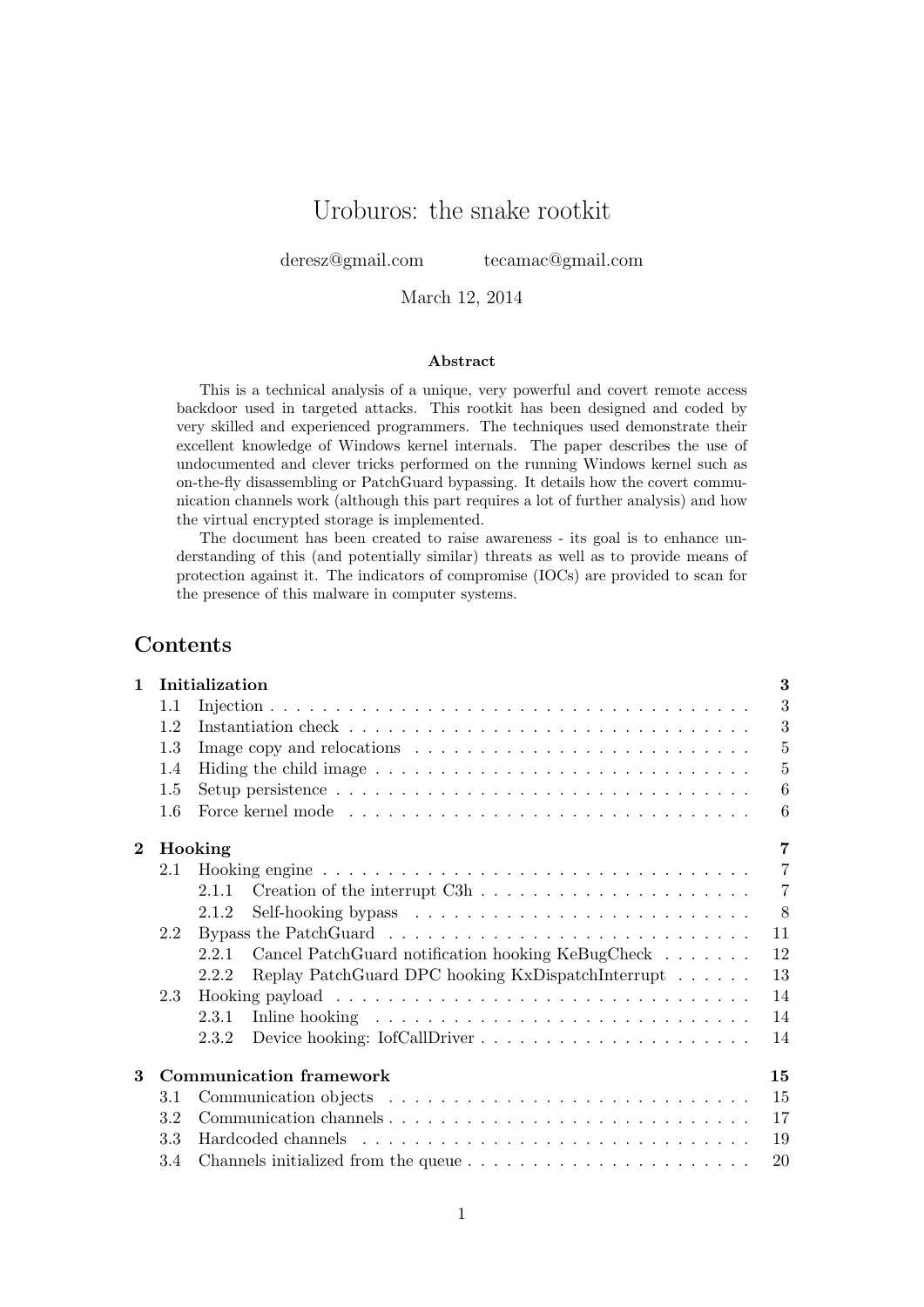# Uroburos: the snake rootkit

deresz@gmail.com tecamac@gmail.com

March 12, 2014

#### Abstract

This is a technical analysis of a unique, very powerful and covert remote access backdoor used in targeted attacks. This rootkit has been designed and coded by very skilled and experienced programmers. The techniques used demonstrate their excellent knowledge of Windows kernel internals. The paper describes the use of undocumented and clever tricks performed on the running Windows kernel such as on-the-fly disassembling or PatchGuard bypassing. It details how the covert communication channels work (although this part requires a lot of further analysis) and how the virtual encrypted storage is implemented.

The document has been created to raise awareness - its goal is to enhance understanding of this (and potentially similar) threats as well as to provide means of protection against it. The indicators of compromise (IOCs) are provided to scan for the presence of this malware in computer systems.

# Contents

| $\mathbf{1}$ |     | Initialization |                                                                                        | 3              |  |  |  |  |  |  |
|--------------|-----|----------------|----------------------------------------------------------------------------------------|----------------|--|--|--|--|--|--|
|              | 1.1 |                |                                                                                        | 3              |  |  |  |  |  |  |
|              | 1.2 |                |                                                                                        | 3              |  |  |  |  |  |  |
|              | 1.3 |                |                                                                                        | $\overline{5}$ |  |  |  |  |  |  |
|              | 1.4 |                |                                                                                        | $\overline{5}$ |  |  |  |  |  |  |
|              | 1.5 |                |                                                                                        | 6              |  |  |  |  |  |  |
|              | 1.6 |                |                                                                                        | 6              |  |  |  |  |  |  |
| $\bf{2}$     |     | Hooking        |                                                                                        | 7              |  |  |  |  |  |  |
|              | 2.1 |                |                                                                                        | $\overline{7}$ |  |  |  |  |  |  |
|              |     | 2.1.1          |                                                                                        | $\overline{7}$ |  |  |  |  |  |  |
|              |     | 2.1.2          |                                                                                        | 8              |  |  |  |  |  |  |
|              | 2.2 |                | Bypass the PatchGuard $\ldots \ldots \ldots \ldots \ldots \ldots \ldots \ldots \ldots$ | 11             |  |  |  |  |  |  |
|              |     | 2.2.1          | Cancel PatchGuard notification hooking KeBugCheck                                      | 12             |  |  |  |  |  |  |
|              |     | 2.2.2          | Replay PatchGuard DPC hooking KxDispatchInterrupt                                      | 13             |  |  |  |  |  |  |
|              | 2.3 |                |                                                                                        | 14             |  |  |  |  |  |  |
|              |     | 2.3.1          |                                                                                        | 14             |  |  |  |  |  |  |
|              |     | 2.3.2          |                                                                                        | 14             |  |  |  |  |  |  |
| 3            |     |                | <b>Communication framework</b>                                                         | 15             |  |  |  |  |  |  |
|              | 3.1 |                |                                                                                        | 15             |  |  |  |  |  |  |
|              | 3.2 |                |                                                                                        | 17             |  |  |  |  |  |  |
|              | 3.3 | 19             |                                                                                        |                |  |  |  |  |  |  |
|              | 3.4 |                | Channels initialized from the queue $\dots \dots \dots \dots \dots \dots \dots \dots$  | 20             |  |  |  |  |  |  |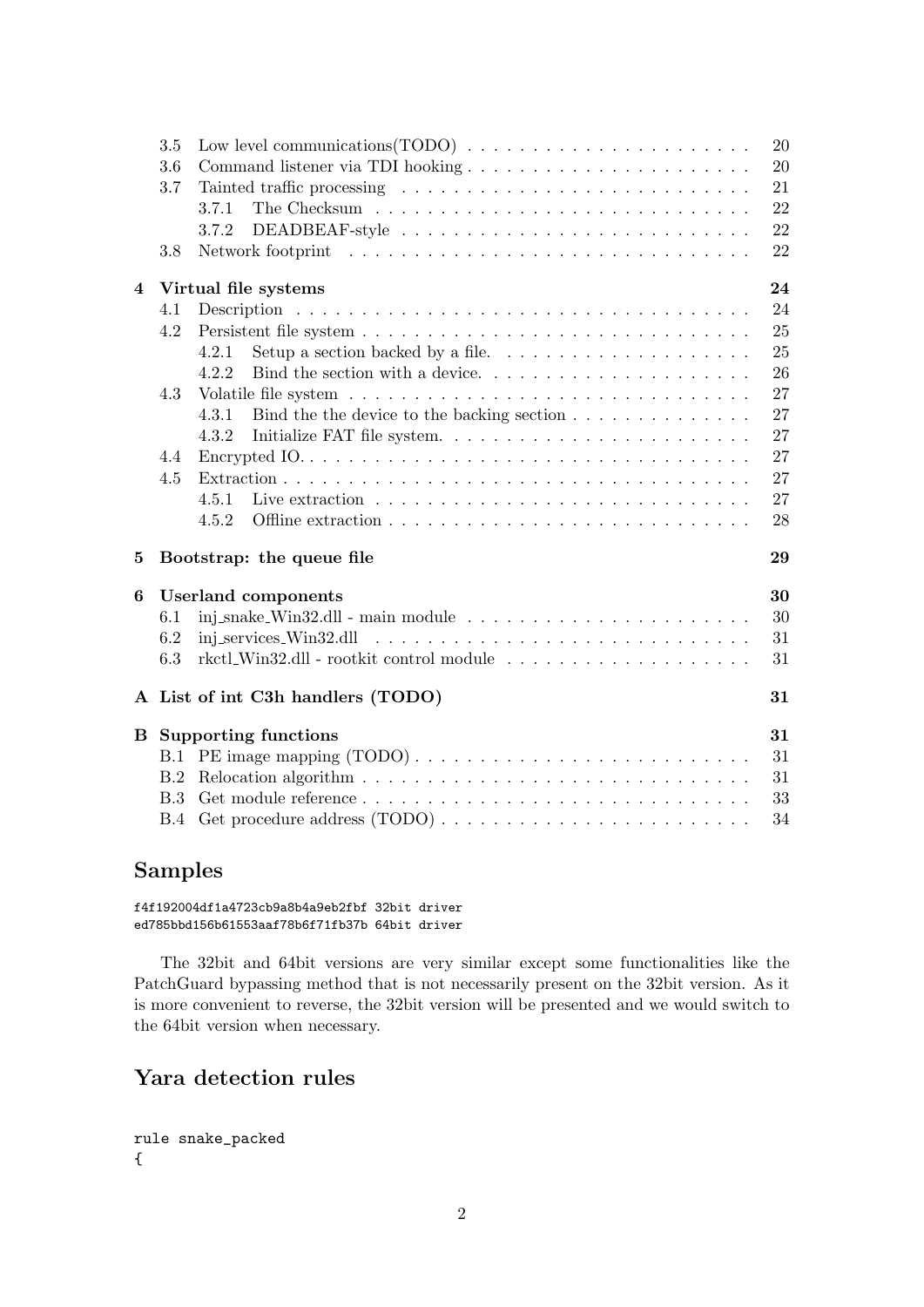|                | 3.5        |                                                                                             | 20 |
|----------------|------------|---------------------------------------------------------------------------------------------|----|
|                | 3.6        |                                                                                             | 20 |
|                | 3.7        |                                                                                             | 21 |
|                |            | 3.7.1                                                                                       | 22 |
|                |            | 3.7.2                                                                                       | 22 |
|                | 3.8        |                                                                                             | 22 |
| $\overline{4}$ |            | Virtual file systems                                                                        | 24 |
|                | 4.1        |                                                                                             | 24 |
|                | 4.2        |                                                                                             | 25 |
|                |            | Setup a section backed by a file. $\ldots \ldots \ldots \ldots \ldots \ldots$<br>4.2.1      | 25 |
|                |            | 4.2.2                                                                                       | 26 |
|                | 4.3        |                                                                                             | 27 |
|                |            | Bind the the device to the backing section $\dots \dots \dots \dots \dots$<br>4.3.1         | 27 |
|                |            | Initialize FAT file system<br>4.3.2                                                         | 27 |
|                | 4.4        |                                                                                             | 27 |
|                | 4.5        |                                                                                             | 27 |
|                |            | 4.5.1                                                                                       | 27 |
|                |            | 4.5.2                                                                                       | 28 |
| $\bf{5}$       |            | Bootstrap: the queue file                                                                   | 29 |
| 6              |            | <b>Userland</b> components                                                                  | 30 |
|                | 6.1        | inj_snake_Win32.dll - main module $\ldots \ldots \ldots \ldots \ldots \ldots \ldots \ldots$ | 30 |
|                | 6.2        |                                                                                             | 31 |
|                | 6.3        | rkctl_Win32.dll - rootkit control module $\ldots \ldots \ldots \ldots \ldots \ldots \ldots$ | 31 |
|                |            | A List of int C3h handlers (TODO)                                                           | 31 |
| B              |            | <b>Supporting functions</b>                                                                 | 31 |
|                | B.1        |                                                                                             | 31 |
|                | B.2        |                                                                                             | 31 |
|                | B.3        |                                                                                             | 33 |
|                | <b>B.4</b> |                                                                                             | 34 |

# Samples

f4f192004df1a4723cb9a8b4a9eb2fbf 32bit driver ed785bbd156b61553aaf78b6f71fb37b 64bit driver

The 32bit and 64bit versions are very similar except some functionalities like the PatchGuard bypassing method that is not necessarily present on the 32bit version. As it is more convenient to reverse, the 32bit version will be presented and we would switch to the 64bit version when necessary.

# Yara detection rules

```
rule snake_packed
{
```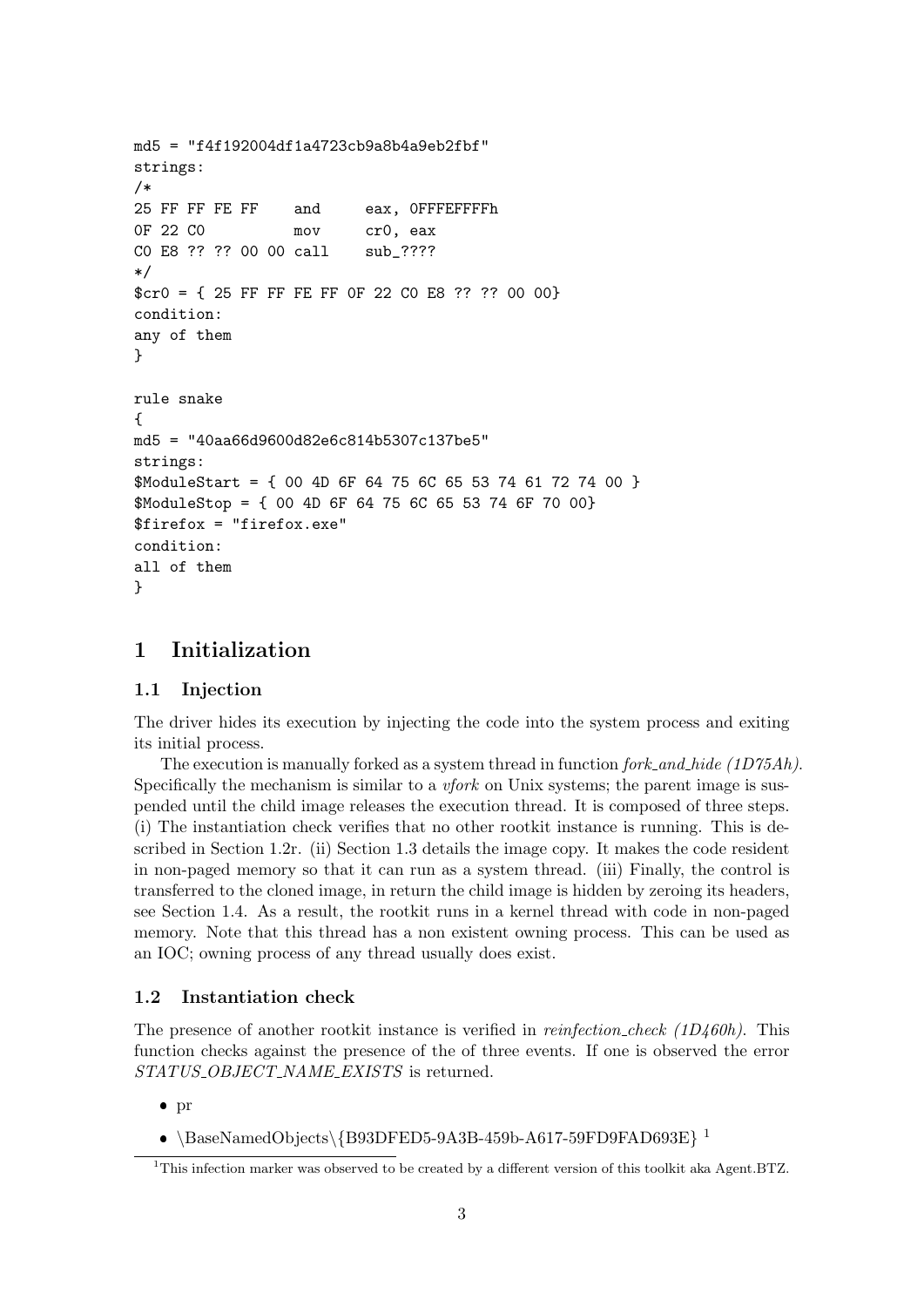```
md5 = "f4f192004df1a4723cb9a8b4a9eb2fbf"
strings:
/*
25 FF FF FE FF and eax, 0FFFEFFFFh
0F 22 CO mov cr0, eax
C0 E8 ?? ?? 00 00 call sub_????
*/
$cr0 = { 25 FF FF FE FF 0F 22 C0 E8 ?? ?? 00 00}
condition:
any of them
}
rule snake
{
md5 = "40aa66d9600d82e6c814b5307c137be5"
strings:
$ModuleStart = { 00 4D 6F 64 75 6C 65 53 74 61 72 74 00 }
$ModuleStop = { 00 4D 6F 64 75 6C 65 53 74 6F 70 00}
$firefox = "firefox.exe"
condition:
all of them
}
```
# 1 Initialization

## 1.1 Injection

The driver hides its execution by injecting the code into the system process and exiting its initial process.

The execution is manually forked as a system thread in function  $fork\_and\_hide$  (1D75Ah). Specifically the mechanism is similar to a *vfork* on Unix systems; the parent image is suspended until the child image releases the execution thread. It is composed of three steps. (i) The instantiation check verifies that no other rootkit instance is running. This is described in Section 1.2r. (ii) Section 1.3 details the image copy. It makes the code resident in non-paged memory so that it can run as a system thread. (iii) Finally, the control is transferred to the cloned image, in return the child image is hidden by zeroing its headers, see Section 1.4. As a result, the rootkit runs in a kernel thread with code in non-paged memory. Note that this thread has a non existent owning process. This can be used as an IOC; owning process of any thread usually does exist.

#### 1.2 Instantiation check

The presence of another rootkit instance is verified in *reinfection\_check (1D460h)*. This function checks against the presence of the of three events. If one is observed the error STATUS\_OBJECT\_NAME\_EXISTS is returned.

- $\bullet$  pr
- $\bullet$  \BaseNamedObjects\{B93DFED5-9A3B-459b-A617-59FD9FAD693E}<sup>1</sup>

<sup>&</sup>lt;sup>1</sup>This infection marker was observed to be created by a different version of this toolkit aka Agent.BTZ.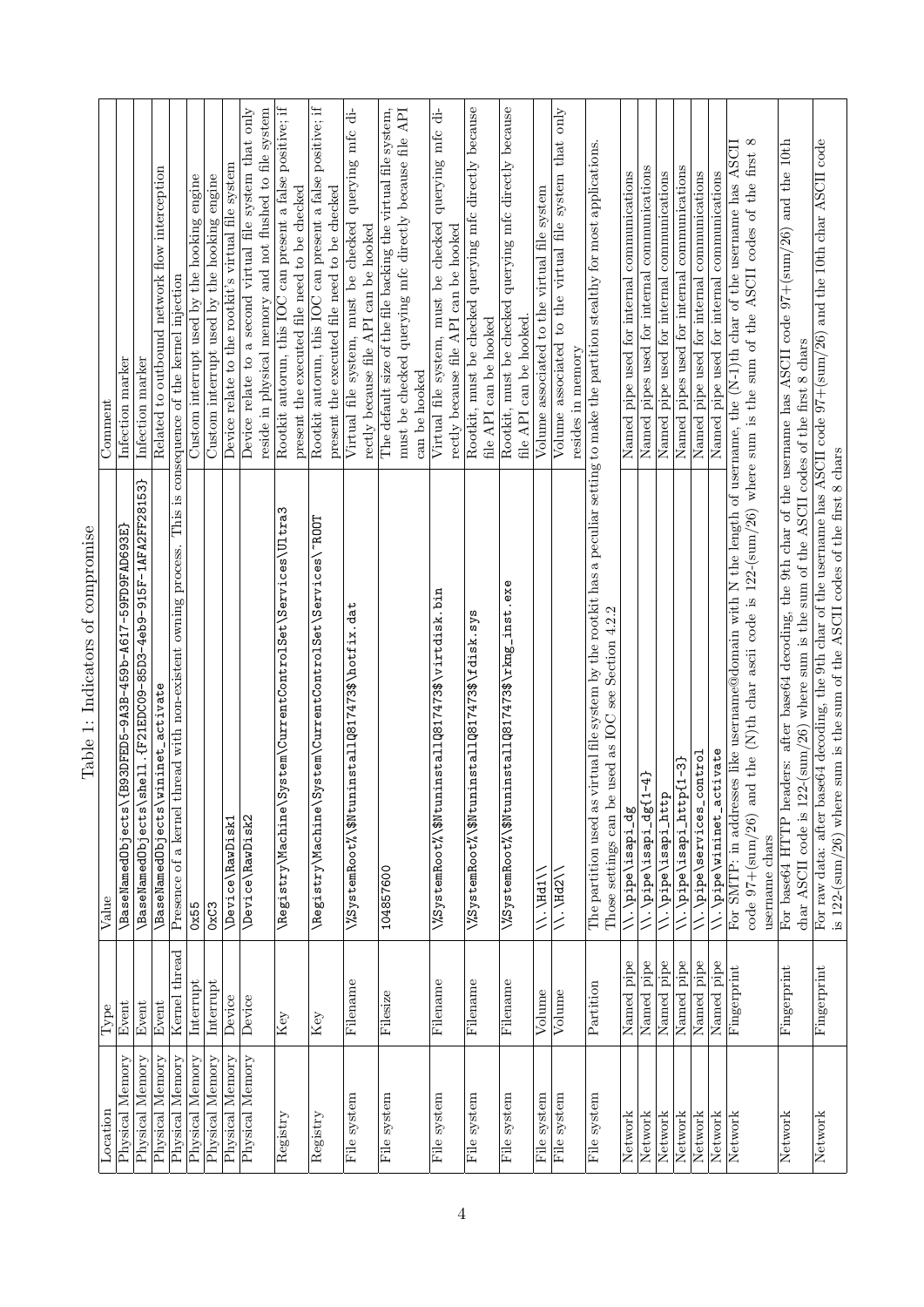| Location           | Type                    | Value                                                                                                                                                                                                                     | Comment                                                                                           |
|--------------------|-------------------------|---------------------------------------------------------------------------------------------------------------------------------------------------------------------------------------------------------------------------|---------------------------------------------------------------------------------------------------|
| Memory<br>Physical | Event                   | ESS900FED5-9A3B-459b-A617-59FD9FAD693E<br>\BaseNamedObjects\{                                                                                                                                                             | Infection marker                                                                                  |
| Physical Memory    | Event                   | \BaseNamedObjects\shell.{F21EDC09-85D3-4eb9-915F-1AFA2FF28153}                                                                                                                                                            | Infection marker                                                                                  |
| Physical Memory    | Event                   | \BaseNamedObjects\wininet_activate                                                                                                                                                                                        | Related to outbound network flow interception                                                     |
| Physical Memory    | Kernel thread           | Presence of a kernel thread with non-existent owning process. This is consequence of the kernel injection                                                                                                                 |                                                                                                   |
| Physical Memory    | Interrupt               | 0x55                                                                                                                                                                                                                      | Custom interrupt used by the hooking engine                                                       |
| Physical Memory    | Interrupt               | 0xC3                                                                                                                                                                                                                      | Custom interrupt used by the hooking engine                                                       |
| Physical Memory    | Device                  | \Device\RawDisk1                                                                                                                                                                                                          | Device relate to the rootkit's virtual file system                                                |
| Physical Memory    | Device                  | \Device\RawDisk2                                                                                                                                                                                                          | Device relate to a second virtual file system that only                                           |
|                    |                         |                                                                                                                                                                                                                           | reside in physical memory and not flushed to file system                                          |
| Registry           | $\bar{\rm K} e {\rm y}$ | \Registry\Machine\System\CurrentControlSet\Services\Ultra3                                                                                                                                                                | Rootkit autorun, this IOC can present a false positive; if                                        |
|                    |                         |                                                                                                                                                                                                                           | present the executed file need to be checked                                                      |
| Registry           | Key                     | \Registry\Machine\System\CurrentControlSet\Services\"ROOT                                                                                                                                                                 | Rootkit autorun, this IOC can present a false positive; if                                        |
|                    |                         |                                                                                                                                                                                                                           | present the executed file need to be checked                                                      |
| File system        | Filename                | \%SystemRoot%\\$NtuninstallQ817473\$\hotfix.dat                                                                                                                                                                           | querying mfc di-<br>Virtual file system, must be checked<br>rectly because file API can be hooked |
|                    |                         |                                                                                                                                                                                                                           |                                                                                                   |
| File system        | Filesize                | 104857600                                                                                                                                                                                                                 | The default size of the file backing the virtual file system,                                     |
|                    |                         |                                                                                                                                                                                                                           | must be checked querying mfc directly because file API                                            |
|                    |                         |                                                                                                                                                                                                                           | can be hooked                                                                                     |
| File system        | Filename                | $\frac{25}{25}$ ystemRoot $\frac{25}{25}$ $\frac{30}{25}$ tuninstallQ817473\$ $\sqrt{v}$ irtdisk.bin                                                                                                                      | Virtual file system, must be checked querying mfc di-                                             |
|                    |                         |                                                                                                                                                                                                                           | rectly because file API can be hooked                                                             |
| File system        | Filename                | $\frac{25}{35}$ ystemRoot $\frac{2}{3}$ $\frac{3}{30}$ tuninstallQ817473\$\fdisk.sys                                                                                                                                      | Rootkit, must be checked querying mfc directly because                                            |
|                    |                         |                                                                                                                                                                                                                           | file API can be hooked                                                                            |
| File system        | Filename                | $\chi$ %SystemRoot% $\chi$ \$NtuninstallQ817473\$\rkng_inst.exe                                                                                                                                                           | Rootkit, must be checked querying mfc directly because                                            |
|                    |                         |                                                                                                                                                                                                                           | file API can be hooked.                                                                           |
| File system        | Volume                  | VV-VHq1V                                                                                                                                                                                                                  | Volume associated to the virtual file system                                                      |
| File system        | Volume                  | $\setminus \setminus$ , $\setminus$ Hd2 $\setminus$                                                                                                                                                                       | Volume associated to the virtual file system that only                                            |
|                    |                         |                                                                                                                                                                                                                           | resides in memory                                                                                 |
| File system        | Partition               | The partition used as virtual file system by the rootkit has a peculiar setting to make the partition stealthy for most applications.<br>used as IOC see Section 4.2.2<br>Those settings can be                           |                                                                                                   |
| Network            | Named pipe              | \\.\pipe\isapi_dg                                                                                                                                                                                                         | Named pipe used for internal communications                                                       |
| Network            | Named pipe              | \\.\pipe\isapi_dg{1-4}                                                                                                                                                                                                    | Named pipes used for internal communications                                                      |
| Network            | Named pipe              | \\.\pipe\isapi_http                                                                                                                                                                                                       | Named pipe used for internal communications                                                       |
| Network            | Named pipe              | \\.\pipe\isapi_http{1-3}                                                                                                                                                                                                  | Named pipes used for internal communications                                                      |
| Network            | Named pipe              | \\.\pipe\services_control                                                                                                                                                                                                 | Named pipe used for internal communications                                                       |
| Network            | Named pipe              | \\.\pipe\wininet_activate                                                                                                                                                                                                 | Named pipe used for internal communications                                                       |
| Network            | Fingerprint             | For SMTP: in addresses like username@domain with N the length of username, the $(N-1)$ th char of the username has ASCII                                                                                                  |                                                                                                   |
|                    |                         | code $97+(sum/26)$ and the (N)th char ascii code is $122-(sum/26)$ where sum is the sum of the ASCII codes of the first 8                                                                                                 |                                                                                                   |
|                    |                         | username chars                                                                                                                                                                                                            |                                                                                                   |
| Network            | Fingerprint             | For base64 HTTP headers: after base64 decoding, the 9th char of the username has ASCII code $97+(sum/26)$ and the 10th<br>char ASCII code is $122$ -(sum/26) where sum is the sum of the ASCII codes of the first 8 chars |                                                                                                   |
| Network            | Fingerprint             | For raw data: after base64 decoding, the 9th char of the username has ASCII code $97 + (\text{sum}/26)$ and the 10th char ASCII code                                                                                      |                                                                                                   |
|                    |                         | is 122-(sum/26) where sum is the sum of the ASCII codes of the first 8 chars                                                                                                                                              |                                                                                                   |

Table 1: Indicators of compromise Table 1: Indicators of compromise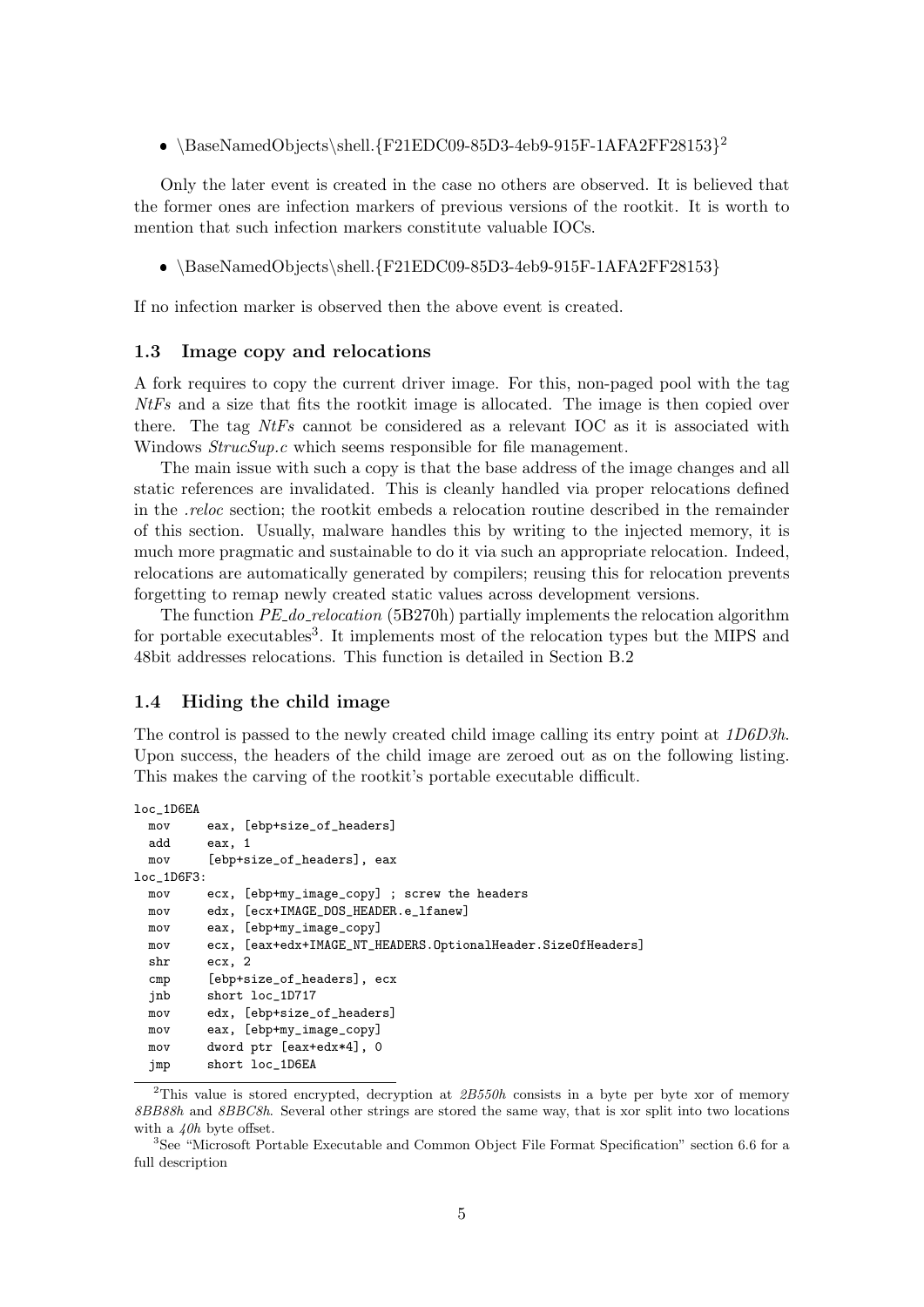$\bullet$  \BaseNamedObjects\shell.{F21EDC09-85D3-4eb9-915F-1AFA2FF28153}<sup>2</sup>

Only the later event is created in the case no others are observed. It is believed that the former ones are infection markers of previous versions of the rootkit. It is worth to mention that such infection markers constitute valuable IOCs.

 $\bullet$  \BaseNamedObjects\shell.{F21EDC09-85D3-4eb9-915F-1AFA2FF28153}

If no infection marker is observed then the above event is created.

#### 1.3 Image copy and relocations

A fork requires to copy the current driver image. For this, non-paged pool with the tag NtFs and a size that fits the rootkit image is allocated. The image is then copied over there. The tag  $NtFs$  cannot be considered as a relevant IOC as it is associated with Windows  $StrucSup.c$  which seems responsible for file management.

The main issue with such a copy is that the base address of the image changes and all static references are invalidated. This is cleanly handled via proper relocations defined in the .reloc section; the rootkit embeds a relocation routine described in the remainder of this section. Usually, malware handles this by writing to the injected memory, it is much more pragmatic and sustainable to do it via such an appropriate relocation. Indeed, relocations are automatically generated by compilers; reusing this for relocation prevents forgetting to remap newly created static values across development versions.

The function *PE\_do\_relocation* (5B270h) partially implements the relocation algorithm for portable executables<sup>3</sup>. It implements most of the relocation types but the MIPS and 48bit addresses relocations. This function is detailed in Section B.2

#### 1.4 Hiding the child image

The control is passed to the newly created child image calling its entry point at 1D6D3h. Upon success, the headers of the child image are zeroed out as on the following listing. This makes the carving of the rootkit's portable executable difficult.

```
loc_1D6EA
 mov eax, [ebp+size_of_headers]
 add eax, 1
 mov [ebp+size of headers], eax
loc_1D6F3:
 mov ecx, [ebp+my_image_copy] ; screw the headers
 mov edx, [ecx+IMAGE_DOS_HEADER.e_lfanew]
 mov eax, [ebp+my_image_copy]
 mov ecx, [eax+edx+IMAGE_NT_HEADERS.OptionalHeader.SizeOfHeaders]
 shr ecx, 2
 cmp [ebp+size_of_headers], ecx
 jnb short loc_1D717
 mov edx, [ebp+size_of_headers]
 mov eax, [ebp+my_image_copy]
 mov dword ptr [eax+edx*4], 0
 jmp short loc_1D6EA
```
<sup>2</sup>This value is stored encrypted, decryption at  $2B550h$  consists in a byte per byte xor of memory 8BB88h and 8BBC8h. Several other strings are stored the same way, that is xor split into two locations with a  $/(\theta h)$  byte offset.

<sup>3</sup>See "Microsoft Portable Executable and Common Object File Format Specification" section 6.6 for a full description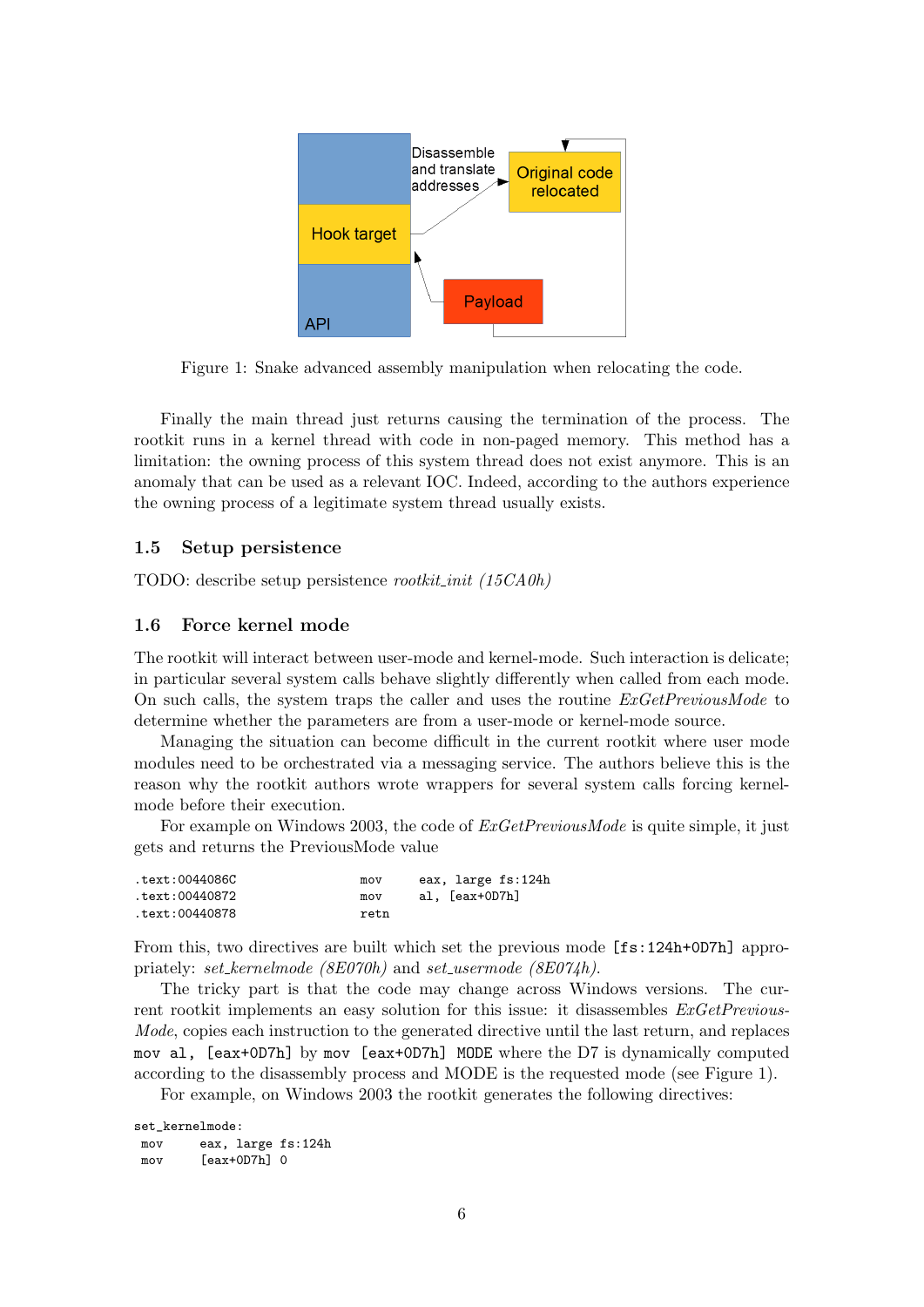

Figure 1: Snake advanced assembly manipulation when relocating the code.

Finally the main thread just returns causing the termination of the process. The rootkit runs in a kernel thread with code in non-paged memory. This method has a limitation: the owning process of this system thread does not exist anymore. This is an anomaly that can be used as a relevant IOC. Indeed, according to the authors experience the owning process of a legitimate system thread usually exists.

#### 1.5 Setup persistence

TODO: describe setup persistence *rootkit\_init* (15CA0h)

#### 1.6 Force kernel mode

The rootkit will interact between user-mode and kernel-mode. Such interaction is delicate; in particular several system calls behave slightly differently when called from each mode. On such calls, the system traps the caller and uses the routine  $ExGetPrevious Mode$  to determine whether the parameters are from a user-mode or kernel-mode source.

Managing the situation can become difficult in the current rootkit where user mode modules need to be orchestrated via a messaging service. The authors believe this is the reason why the rootkit authors wrote wrappers for several system calls forcing kernelmode before their execution.

For example on Windows 2003, the code of  $ExGetPrevious Mode$  is quite simple, it just gets and returns the PreviousMode value

| text:0044086C. | mov  |                | eax, large fs:124h |
|----------------|------|----------------|--------------------|
| text:00440872. | mov  | al, [eax+OD7h] |                    |
| text:00440878. | retn |                |                    |

From this, two directives are built which set the previous mode [fs:124h+0D7h] appropriately: set\_kernelmode (8E070h) and set\_usermode (8E074h).

The tricky part is that the code may change across Windows versions. The current rootkit implements an easy solution for this issue: it disassembles  $ExGetPrevious$ Mode, copies each instruction to the generated directive until the last return, and replaces mov al, [eax+0D7h] by mov [eax+0D7h] MODE where the D7 is dynamically computed according to the disassembly process and MODE is the requested mode (see Figure 1). For example, on Windows 2003 the rootkit generates the following directives:

```
set_kernelmode:
mov eax, large fs:124h
mov [eax+0D7h] 0
```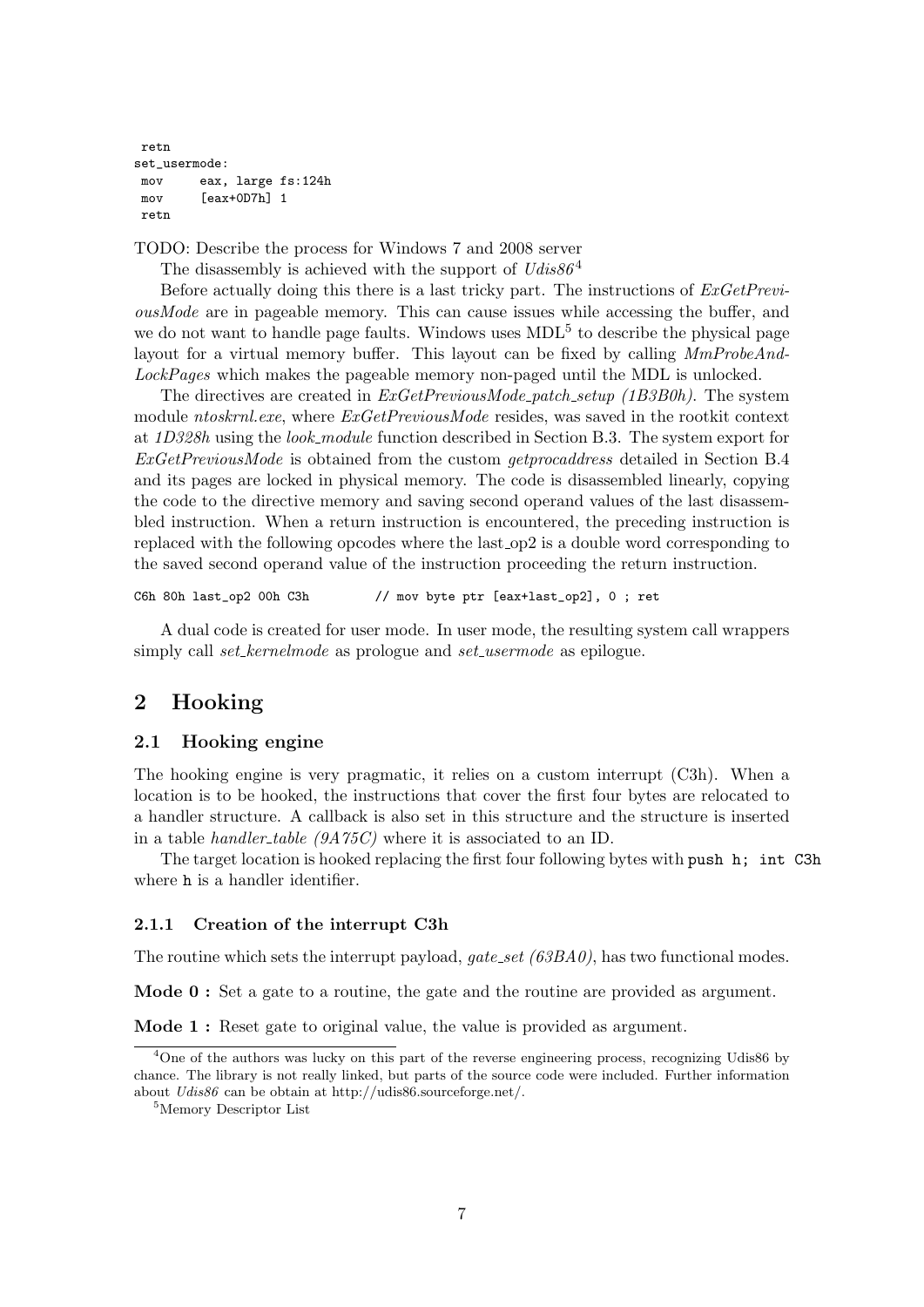```
retn
set_usermode:
mov eax, large fs:124h
mov [eax+0D7h] 1
retn
```
TODO: Describe the process for Windows 7 and 2008 server

The disassembly is achieved with the support of  $Udis86<sup>4</sup>$ 

Before actually doing this there is a last tricky part. The instructions of  $ExGetPrevi$ ousMode are in pageable memory. This can cause issues while accessing the buffer, and we do not want to handle page faults. Windows uses  $MDL<sup>5</sup>$  to describe the physical page layout for a virtual memory buffer. This layout can be fixed by calling MmProbeAnd-LockPages which makes the pageable memory non-paged until the MDL is unlocked.

The directives are created in  $ExGetPrevious Mode$ -patch\_setup (1B3B0h). The system module ntoskrnl.exe, where  $ExGetPrevious Mode$  resides, was saved in the rootkit context at 1D328h using the look module function described in Section B.3. The system export for ExGetPreviousMode is obtained from the custom getprocaddress detailed in Section B.4 and its pages are locked in physical memory. The code is disassembled linearly, copying the code to the directive memory and saving second operand values of the last disassembled instruction. When a return instruction is encountered, the preceding instruction is replaced with the following opcodes where the last  $_{\rm op2}$  is a double word corresponding to the saved second operand value of the instruction proceeding the return instruction.

C6h 80h last\_op2 00h C3h // mov byte ptr [eax+last\_op2], 0 ; ret

A dual code is created for user mode. In user mode, the resulting system call wrappers simply call *set\_kernelmode* as prologue and *set\_usermode* as epilogue.

# 2 Hooking

## 2.1 Hooking engine

The hooking engine is very pragmatic, it relies on a custom interrupt (C3h). When a location is to be hooked, the instructions that cover the first four bytes are relocated to a handler structure. A callback is also set in this structure and the structure is inserted in a table *handler\_table (9A75C)* where it is associated to an ID.

The target location is hooked replacing the first four following bytes with push h; int C3h where **h** is a handler identifier.

### 2.1.1 Creation of the interrupt C3h

The routine which sets the interrupt payload,  $gate\_set$  (63BA0), has two functional modes.

Mode 0 : Set a gate to a routine, the gate and the routine are provided as argument.

Mode 1 : Reset gate to original value, the value is provided as argument.

<sup>&</sup>lt;sup>4</sup>One of the authors was lucky on this part of the reverse engineering process, recognizing Udis86 by chance. The library is not really linked, but parts of the source code were included. Further information about Udis86 can be obtain at http://udis86.sourceforge.net/.

<sup>5</sup>Memory Descriptor List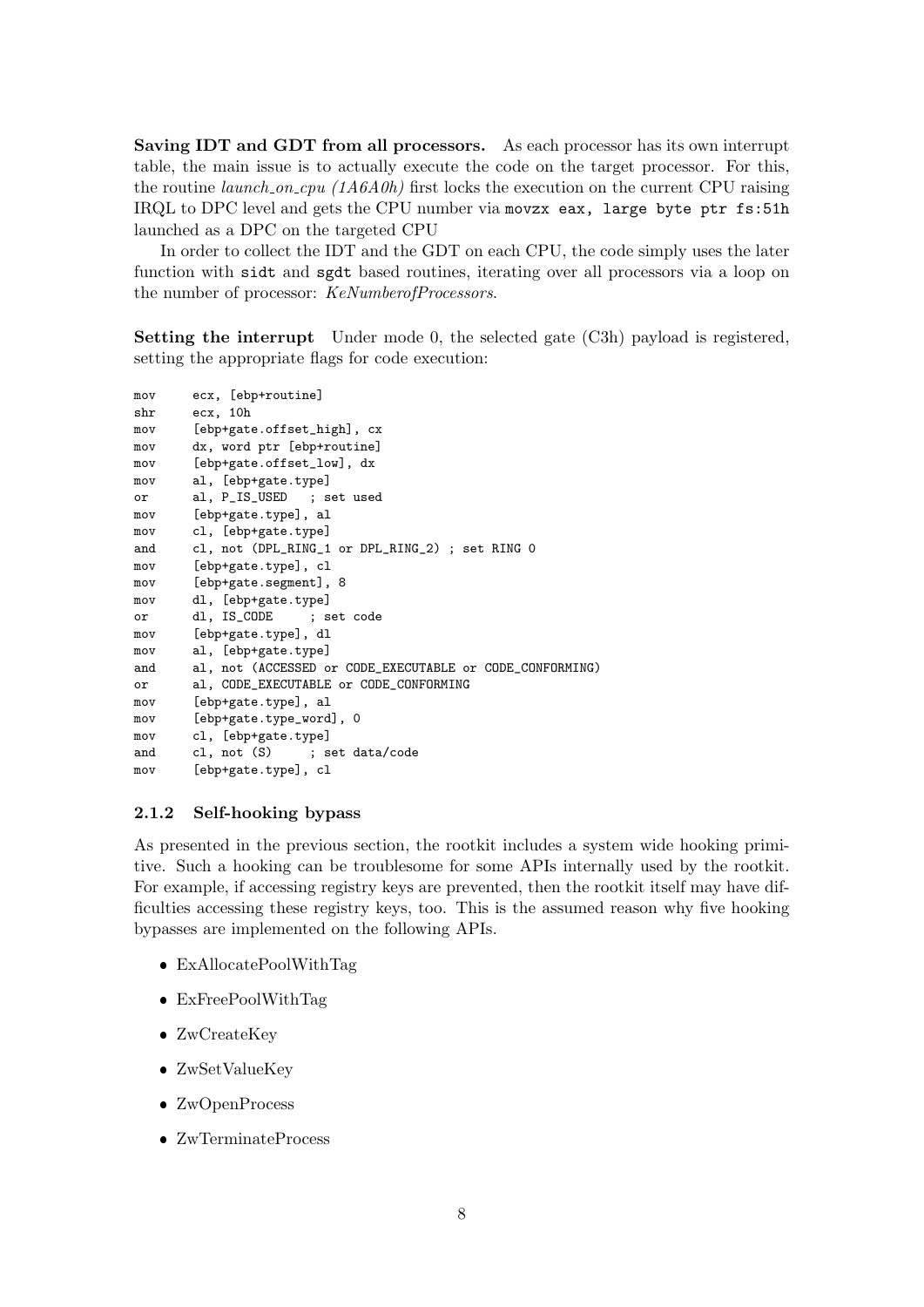Saving IDT and GDT from all processors. As each processor has its own interrupt table, the main issue is to actually execute the code on the target processor. For this, the routine *launch\_on\_cpu*  $(1A6A0h)$  first locks the execution on the current CPU raising IRQL to DPC level and gets the CPU number via movzx eax, large byte ptr fs:51h launched as a DPC on the targeted CPU

In order to collect the IDT and the GDT on each CPU, the code simply uses the later function with sidt and sgdt based routines, iterating over all processors via a loop on the number of processor: KeNumberofProcessors.

Setting the interrupt Under mode 0, the selected gate (C3h) payload is registered, setting the appropriate flags for code execution:

```
mov ecx, [ebp+routine]
shr ecx, 10h
mov [ebp+gate.offset_high], cx
mov dx, word ptr [ebp+routine]
mov [ebp+gate.offset_low], dx
mov al, [ebp+gate.type]<br>or al, P_IS_USED ; set used
or al, P_IS_USED
mov [ebp+gate.type], al
mov cl, [ebp+gate.type]
and cl, not (DPL_RING_1 or DPL_RING_2) ; set RING 0
mov [ebp+gate.type], cl
mov [ebp+gate.segment], 8
mov dl, [ebp+gate.type]
or dl, IS_CODE ; set code
mov [ebp+gate.type], dl
mov al, [ebp+gate.type]
and al, not (ACCESSED or CODE_EXECUTABLE or CODE_CONFORMING)
or al, CODE_EXECUTABLE or CODE_CONFORMING
mov [ebp+gate.type], al
mov [ebp+gate.type_word], 0
mov cl, [ebp+gate.type]
and cl, not (S) ; set data/code
mov [ebp+gate.type], cl
```
### 2.1.2 Self-hooking bypass

As presented in the previous section, the rootkit includes a system wide hooking primitive. Such a hooking can be troublesome for some APIs internally used by the rootkit. For example, if accessing registry keys are prevented, then the rootkit itself may have difficulties accessing these registry keys, too. This is the assumed reason why five hooking bypasses are implemented on the following APIs.

- ExAllocatePoolWithTag
- ExFreePoolWithTag
- ZwCreateKey
- ZwSetValueKey
- ZwOpenProcess
- ZwTerminateProcess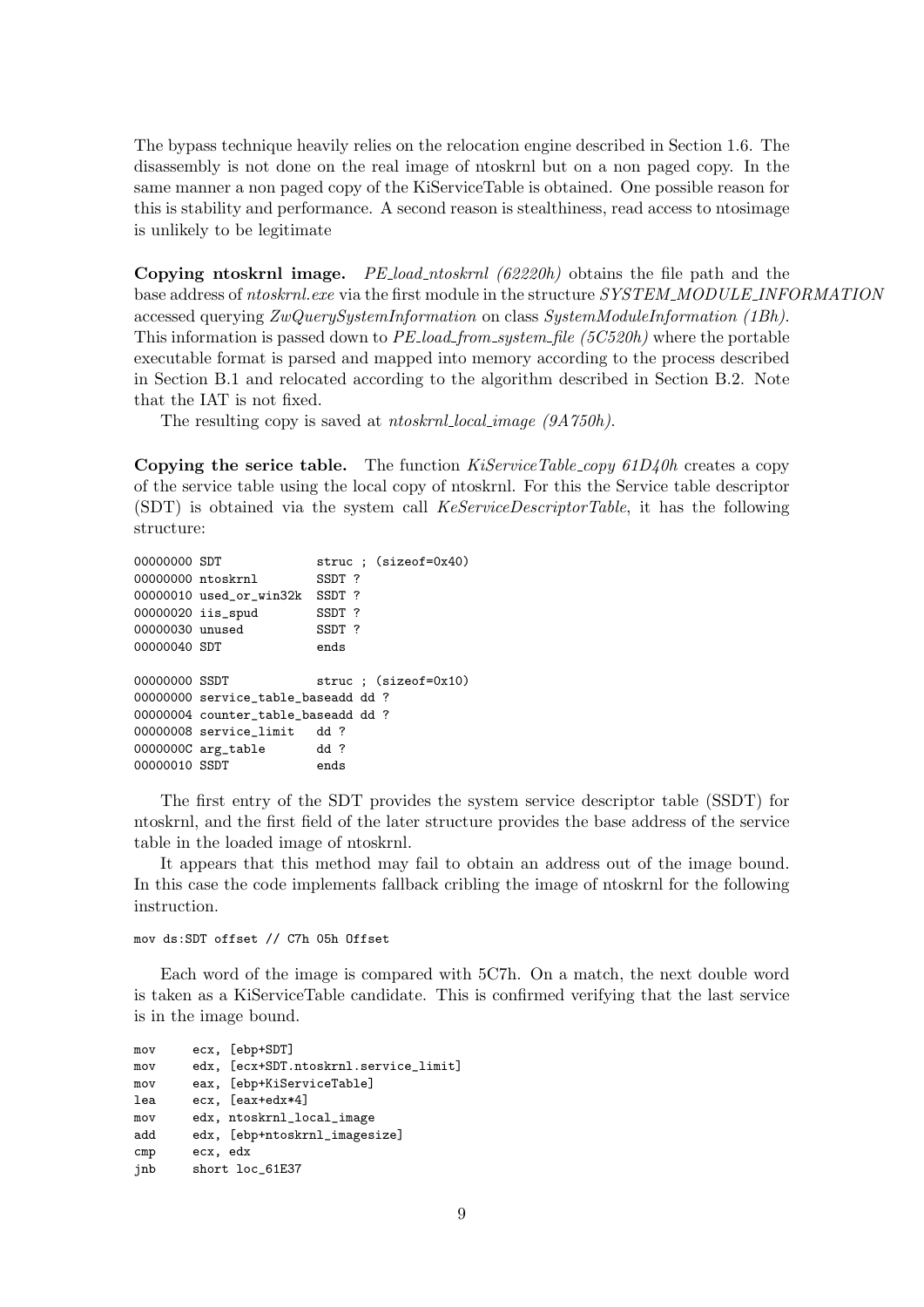The bypass technique heavily relies on the relocation engine described in Section 1.6. The disassembly is not done on the real image of ntoskrnl but on a non paged copy. In the same manner a non paged copy of the KiServiceTable is obtained. One possible reason for this is stability and performance. A second reason is stealthiness, read access to ntosimage is unlikely to be legitimate

Copying ntoskrnl image. PE load ntoskrnl (62220h) obtains the file path and the base address of ntoskrnl.exe via the first module in the structure SYSTEM\_MODULE\_INFORMATION accessed querying ZwQuerySystemInformation on class SystemModuleInformation (1Bh). This information is passed down to  $PE\_load\_from\_system\_file$  (5C520h) where the portable executable format is parsed and mapped into memory according to the process described in Section B.1 and relocated according to the algorithm described in Section B.2. Note that the IAT is not fixed.

The resulting copy is saved at *ntoskrnl\_local\_image (9A750h)*.

**Copying the serice table.** The function  $KiServiceTable \textit{copy 61D40h}$  creates a copy of the service table using the local copy of ntoskrnl. For this the Service table descriptor (SDT) is obtained via the system call KeServiceDescriptorTable, it has the following structure:

```
00000000 SDT struc ; (sizeof=0x40)
00000000 ntoskrnl SSDT ?
00000010 used_or_win32k SSDT ?
00000020 iis_spud SSDT ?
00000030 unused SSDT ?
00000040 SDT ends
00000000 SSDT struc ; (sizeof=0x10)
00000000 service table baseadd dd ?
00000004 counter_table_baseadd dd ?
00000008 service_limit dd ?
0000000C arg_table dd ?
00000010 SSDT ends
```
The first entry of the SDT provides the system service descriptor table (SSDT) for ntoskrnl, and the first field of the later structure provides the base address of the service table in the loaded image of ntoskrnl.

It appears that this method may fail to obtain an address out of the image bound. In this case the code implements fallback cribling the image of ntoskrnl for the following instruction.

mov ds:SDT offset // C7h 05h Offset

Each word of the image is compared with 5C7h. On a match, the next double word is taken as a KiServiceTable candidate. This is confirmed verifying that the last service is in the image bound.

```
mov ecx, [ebp+SDT]
mov edx, [ecx+SDT.ntoskrnl.service_limit]
mov eax, [ebp+KiServiceTable]
lea ecx, [eax+edx*4]
mov edx, ntoskrnl_local_image
add edx, [ebp+ntoskrnl_imagesize]
cmp ecx, edx
jnb short loc_61E37
```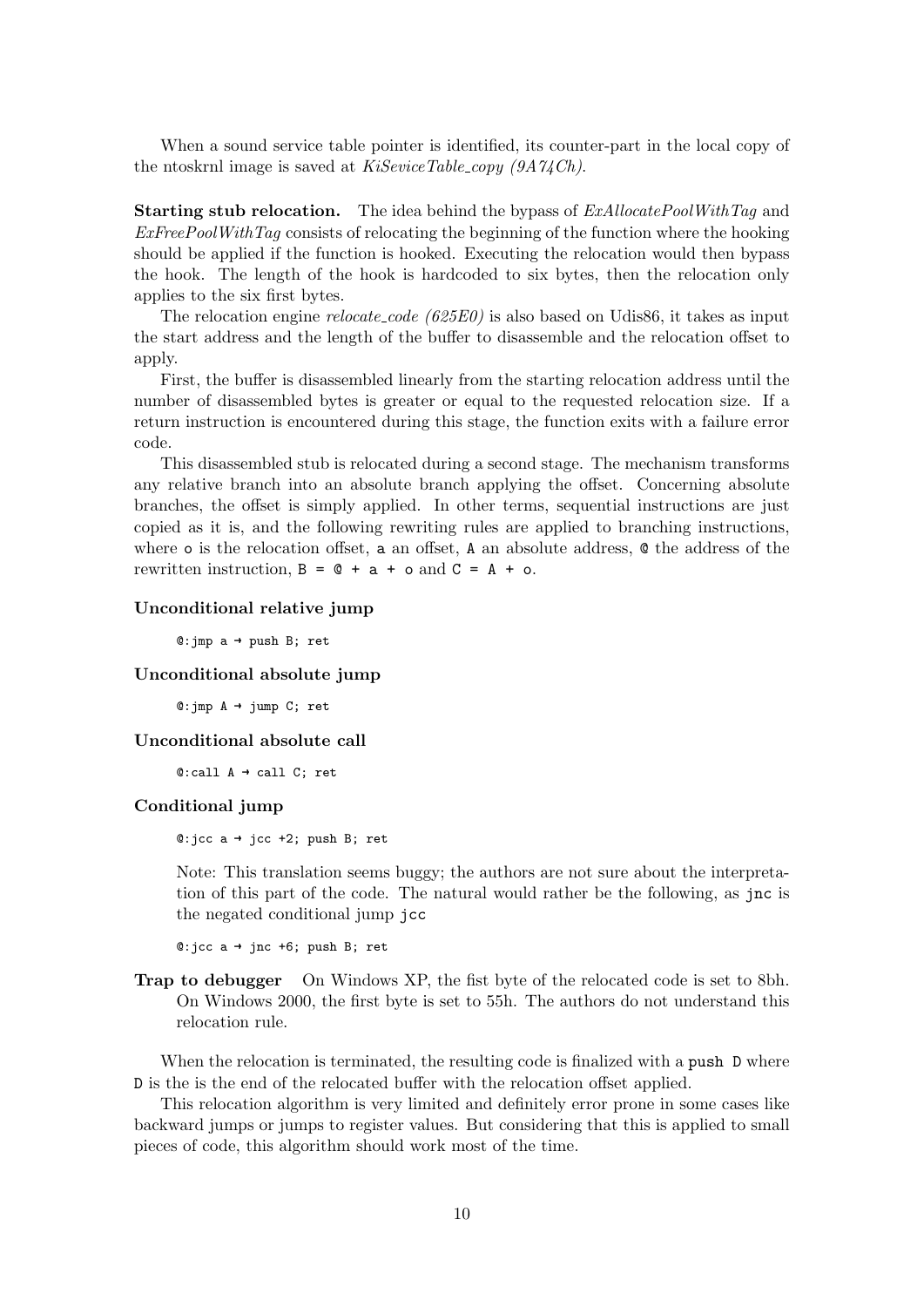When a sound service table pointer is identified, its counter-part in the local copy of the ntoskrnl image is saved at  $KiSeviceTable\_copy (9A74Ch)$ .

**Starting stub relocation.** The idea behind the bypass of  $ExAllocatePoolWithTag$  and  $ExFreePoolWithTag$  consists of relocating the beginning of the function where the hooking should be applied if the function is hooked. Executing the relocation would then bypass the hook. The length of the hook is hardcoded to six bytes, then the relocation only applies to the six first bytes.

The relocation engine *relocate\_code* ( $625E0$ ) is also based on Udis86, it takes as input the start address and the length of the buffer to disassemble and the relocation offset to apply.

First, the buffer is disassembled linearly from the starting relocation address until the number of disassembled bytes is greater or equal to the requested relocation size. If a return instruction is encountered during this stage, the function exits with a failure error code.

This disassembled stub is relocated during a second stage. The mechanism transforms any relative branch into an absolute branch applying the offset. Concerning absolute branches, the offset is simply applied. In other terms, sequential instructions are just copied as it is, and the following rewriting rules are applied to branching instructions, where o is the relocation offset, a an offset, A an absolute address, @ the address of the rewritten instruction,  $B = 0 + a + o$  and  $C = A + o$ .

#### Unconditional relative jump

 $@:$ jmp a  $\rightarrow$  push B; ret

#### Unconditional absolute jump

 $@:imp A \rightarrow jump C; ret$ 

#### Unconditional absolute call

 $@:call A \rightarrow call C; ret$ 

## Conditional jump

 $@:jcc a → jcc +2; push B; ret$ 

Note: This translation seems buggy; the authors are not sure about the interpretation of this part of the code. The natural would rather be the following, as jnc is the negated conditional jump jcc

 $@:jcc a → jnc +6; push B; ret$ 

Trap to debugger On Windows XP, the fist byte of the relocated code is set to 8bh. On Windows 2000, the first byte is set to 55h. The authors do not understand this relocation rule.

When the relocation is terminated, the resulting code is finalized with a push D where D is the is the end of the relocated buffer with the relocation offset applied.

This relocation algorithm is very limited and definitely error prone in some cases like backward jumps or jumps to register values. But considering that this is applied to small pieces of code, this algorithm should work most of the time.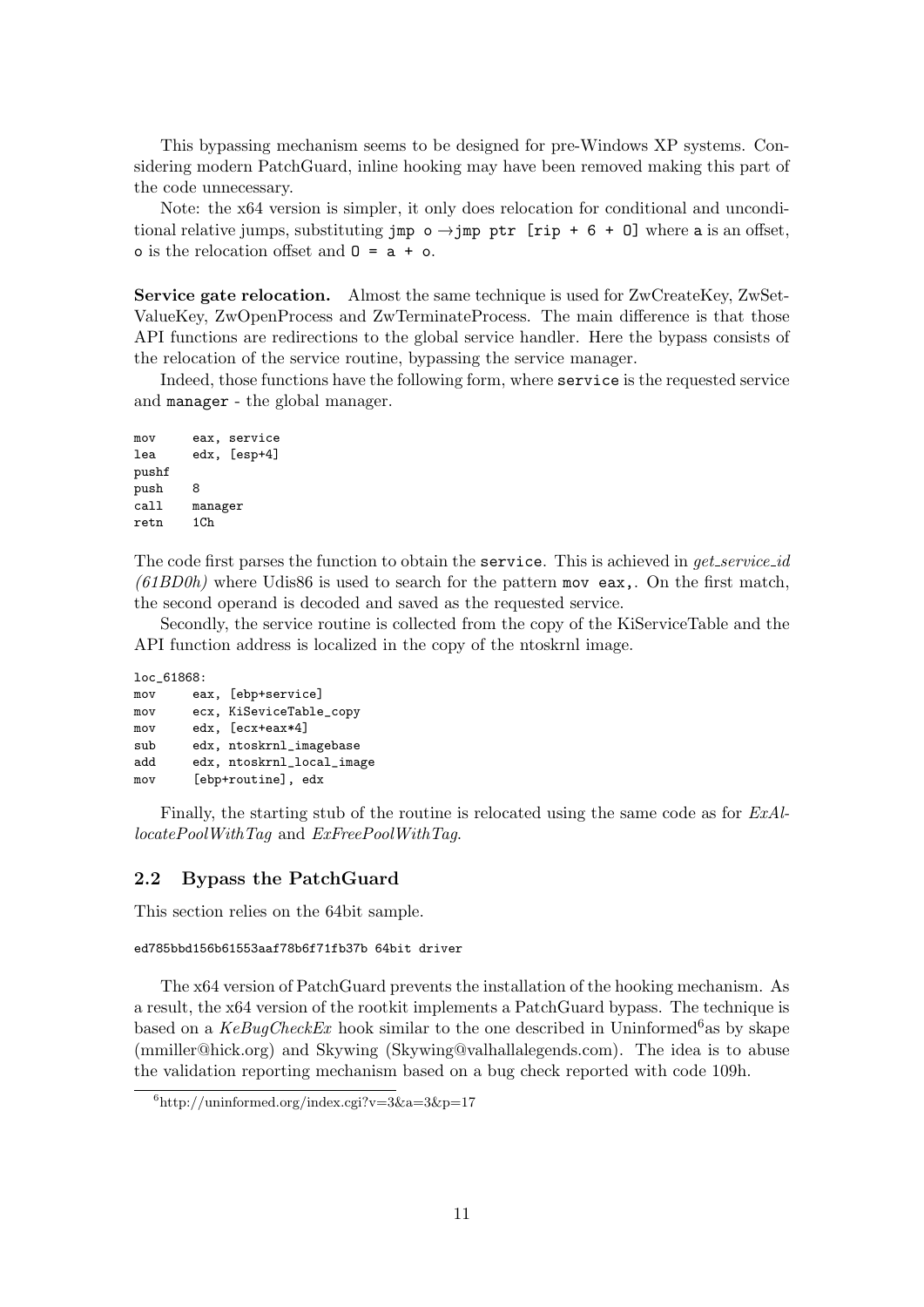This bypassing mechanism seems to be designed for pre-Windows XP systems. Considering modern PatchGuard, inline hooking may have been removed making this part of the code unnecessary.

Note: the x64 version is simpler, it only does relocation for conditional and unconditional relative jumps, substituting jmp  $o \rightarrow$  jmp ptr [rip + 6 + 0] where a is an offset,  $\circ$  is the relocation offset and  $0 = a + o$ .

Service gate relocation. Almost the same technique is used for ZwCreateKey, ZwSet-ValueKey, ZwOpenProcess and ZwTerminateProcess. The main difference is that those API functions are redirections to the global service handler. Here the bypass consists of the relocation of the service routine, bypassing the service manager.

Indeed, those functions have the following form, where service is the requested service and manager - the global manager.

```
mov eax, service
lea edx, [esp+4]
pushf
push 8
call manager
retn 1Ch
```
The code first parses the function to obtain the service. This is achieved in *get\_service\_id*  $(61BD0h)$  where Udis86 is used to search for the pattern mov eax,. On the first match, the second operand is decoded and saved as the requested service.

Secondly, the service routine is collected from the copy of the KiServiceTable and the API function address is localized in the copy of the ntoskrnl image.

| loc_61868: |  |                           |  |  |  |
|------------|--|---------------------------|--|--|--|
| mov        |  | eax, [ebp+service]        |  |  |  |
| mov        |  | ecx, KiSeviceTable_copy   |  |  |  |
| mov        |  | edx, [ecx+eax*4]          |  |  |  |
| sub        |  | edx, ntoskrnl_imagebase   |  |  |  |
| add        |  | edx, ntoskrnl_local_image |  |  |  |
| mov        |  | [ebp+routine], edx        |  |  |  |

Finally, the starting stub of the routine is relocated using the same code as for ExAl $locatedPoolWithTag$  and  $ExFreePoolWithTag$ .

### 2.2 Bypass the PatchGuard

This section relies on the 64bit sample.

```
ed785bbd156b61553aaf78b6f71fb37b 64bit driver
```
The x64 version of PatchGuard prevents the installation of the hooking mechanism. As a result, the x64 version of the rootkit implements a PatchGuard bypass. The technique is based on a  $KeBuqCheckEx$  hook similar to the one described in Uninformed<sup>6</sup>as by skape (mmiller@hick.org) and Skywing (Skywing@valhallalegends.com). The idea is to abuse the validation reporting mechanism based on a bug check reported with code 109h.

 $6$ http://uninformed.org/index.cgi?v=3&a=3&p=17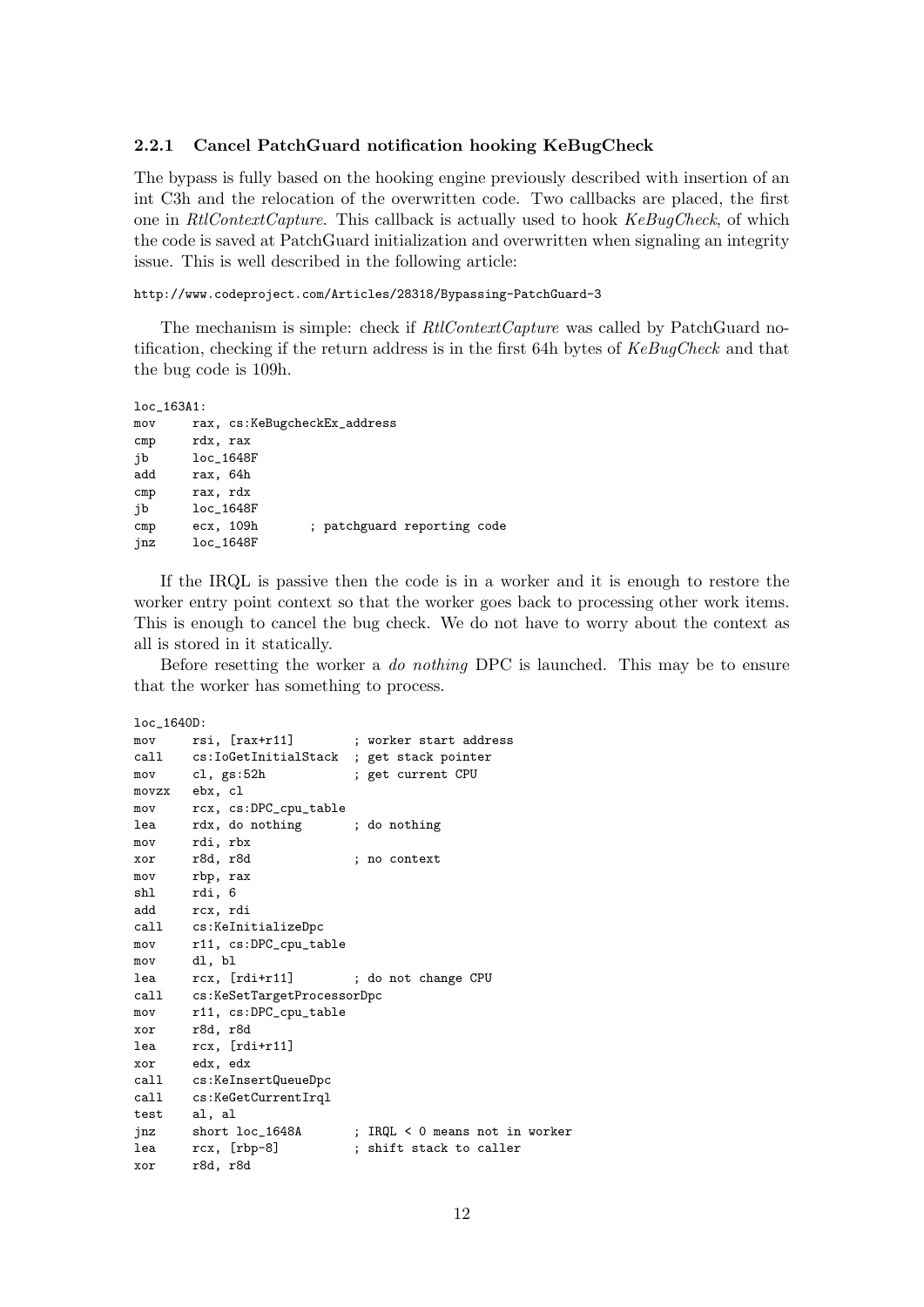## 2.2.1 Cancel PatchGuard notification hooking KeBugCheck

The bypass is fully based on the hooking engine previously described with insertion of an int C3h and the relocation of the overwritten code. Two callbacks are placed, the first one in RtlContextCapture. This callback is actually used to hook KeBugCheck, of which the code is saved at PatchGuard initialization and overwritten when signaling an integrity issue. This is well described in the following article:

## http://www.codeproject.com/Articles/28318/Bypassing-PatchGuard-3

The mechanism is simple: check if  $Rt$ ContextCapture was called by PatchGuard notification, checking if the return address is in the first 64h bytes of KeBugCheck and that the bug code is 109h.

```
loc_163A1:
mov rax, cs:KeBugcheckEx_address
cmp rdx, rax
jb loc_1648F
add rax, 64h
cmp rax, rdx
jb loc_1648F
cmp ecx, 109h ; patchguard reporting code
jnz loc_1648F
```
If the IRQL is passive then the code is in a worker and it is enough to restore the worker entry point context so that the worker goes back to processing other work items. This is enough to cancel the bug check. We do not have to worry about the context as all is stored in it statically.

Before resetting the worker a do nothing DPC is launched. This may be to ensure that the worker has something to process.

```
loc_1640D:
mov rsi, [rax+r11] ; worker start address
call cs:IoGetInitialStack ; get stack pointer
mov cl, gs:52h ; get current CPU
movzx ebx, cl
mov rcx, cs:DPC_cpu_table
lea rdx, do nothing ; do nothing
mov rdi, rbx
xor r8d, r8d ; no context
mov rbp, rax
shl rdi, 6
add rcx, rdi
call cs:KeInitializeDpc
mov r11, cs:DPC_cpu_table
mov dl, bl
lea rcx, [rdi+r11] ; do not change CPU
call cs:KeSetTargetProcessorDpc
mov r11, cs:DPC_cpu_table
xor r8d, r8d
lea rcx, [rdi+r11]
xor edx, edx
call cs:KeInsertQueueDpc
call cs:KeGetCurrentIrql
test al, al
jnz short loc_1648A ; IRQL < 0 means not in worker
lea rcx, [rbp-8] ; shift stack to caller
xor r8d, r8d
```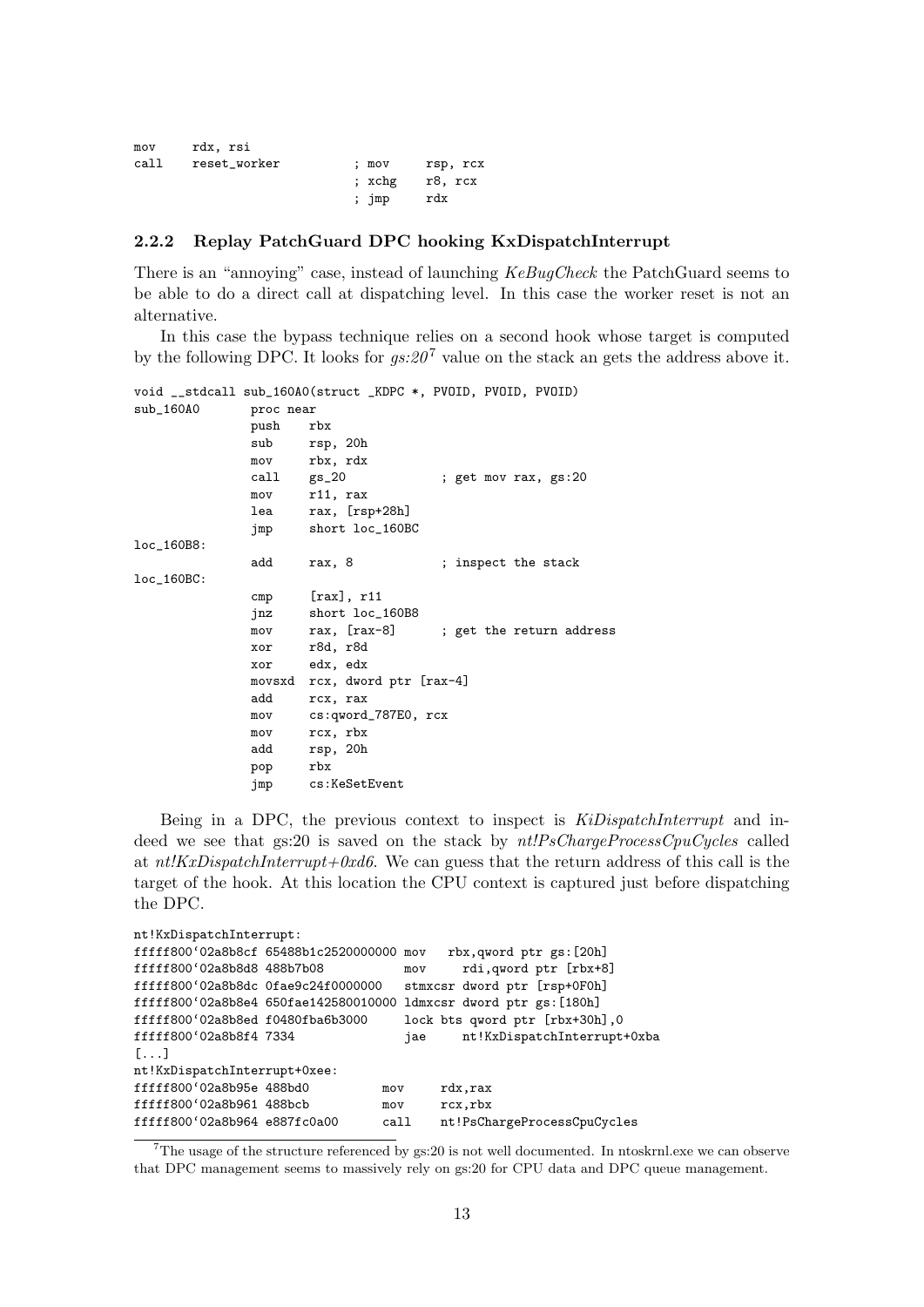| mov  | rdx, rsi     |       |          |
|------|--------------|-------|----------|
| call | reset_worker | : mov | rsp, rcx |
|      |              | :xchg | r8, rcx  |
|      |              | ; jmp | rdx      |

#### 2.2.2 Replay PatchGuard DPC hooking KxDispatchInterrupt

There is an "annoying" case, instead of launching KeBugCheck the PatchGuard seems to be able to do a direct call at dispatching level. In this case the worker reset is not an alternative.

In this case the bypass technique relies on a second hook whose target is computed by the following DPC. It looks for  $gs:20^7$  value on the stack an gets the address above it.

|               |            | void __stdcall sub_160A0(struct _KDPC *, PVOID, PVOID, PVOID) |
|---------------|------------|---------------------------------------------------------------|
| $sub_160A0$   | proc near  |                                                               |
|               | push       | rbx                                                           |
|               | sub        | rsp, 20h                                                      |
|               |            | mov rbx, rdx                                                  |
|               | call gs_20 | ; get mov rax, gs:20                                          |
|               |            | mov r11, rax                                                  |
|               |            | lea rax, [rsp+28h]                                            |
|               | jmp        | short loc_160BC                                               |
| loc_160B8:    |            |                                                               |
|               | add        | rax, 8<br>; inspect the stack                                 |
| $loc_160BC$ : |            |                                                               |
|               |            | $cmp$ [rax], r11                                              |
|               |            | jnz short loc_160B8                                           |
|               | mov        | rax, [rax-8]<br>; get the return address                      |
|               |            | xor r8d, r8d                                                  |
|               |            | xor edx, edx                                                  |
|               |            | movsxd rcx, dword ptr [rax-4]                                 |
|               | add        | rcx, rax                                                      |
|               | mov        | cs:qword_787E0, rcx                                           |
|               | mov        | rcx, rbx                                                      |
|               | add        | rsp, 20h                                                      |
|               | pop        | rbx                                                           |
|               | jmp        | cs:KeSetEvent                                                 |

Being in a DPC, the previous context to inspect is KiDispatchInterrupt and indeed we see that  $gs:20$  is saved on the stack by  $nt!PsChargeProcessCpuCycles$  called at  $nt/KxDispatchInterrupt+0xd6$ . We can guess that the return address of this call is the target of the hook. At this location the CPU context is captured just before dispatching the DPC.

| nt!KxDispatchInterrupt:              |  |      |     |                                                                   |  |  |
|--------------------------------------|--|------|-----|-------------------------------------------------------------------|--|--|
| fffff800'02a8b8cf 65488b1c2520000000 |  |      | mov | rbx, qword ptr gs: [20h]                                          |  |  |
| fffff800'02a8b8d8 488b7b08           |  |      | mov | rdi, qword ptr [rbx+8]                                            |  |  |
| fffff800'02a8b8dc 0fae9c24f0000000   |  |      |     | stmxcsr dword ptr [rsp+0F0h]                                      |  |  |
|                                      |  |      |     | fffff800'02a8b8e4 650fae142580010000 ldmxcsr dword ptr gs: [180h] |  |  |
| fffff800'02a8b8ed f0480fba6b3000     |  |      |     | lock bts qword ptr [rbx+30h], 0                                   |  |  |
| fffff800'02a8b8f4 7334               |  |      | jae | nt!KxDispatchInterrupt+0xba                                       |  |  |
| $[\ldots]$                           |  |      |     |                                                                   |  |  |
| nt!KxDispatchInterrupt+0xee:         |  |      |     |                                                                   |  |  |
| fffff800'02a8b95e 488bd0             |  | mov  |     | rdx, rax                                                          |  |  |
| fffff800'02a8b961 488bcb             |  | mov  |     | rcx,rbx                                                           |  |  |
| fffff800'02a8b964 e887fc0a00         |  | call |     | nt!PsChargeProcessCpuCycles                                       |  |  |

<sup>7</sup>The usage of the structure referenced by gs:20 is not well documented. In ntoskrnl.exe we can observe that DPC management seems to massively rely on gs:20 for CPU data and DPC queue management.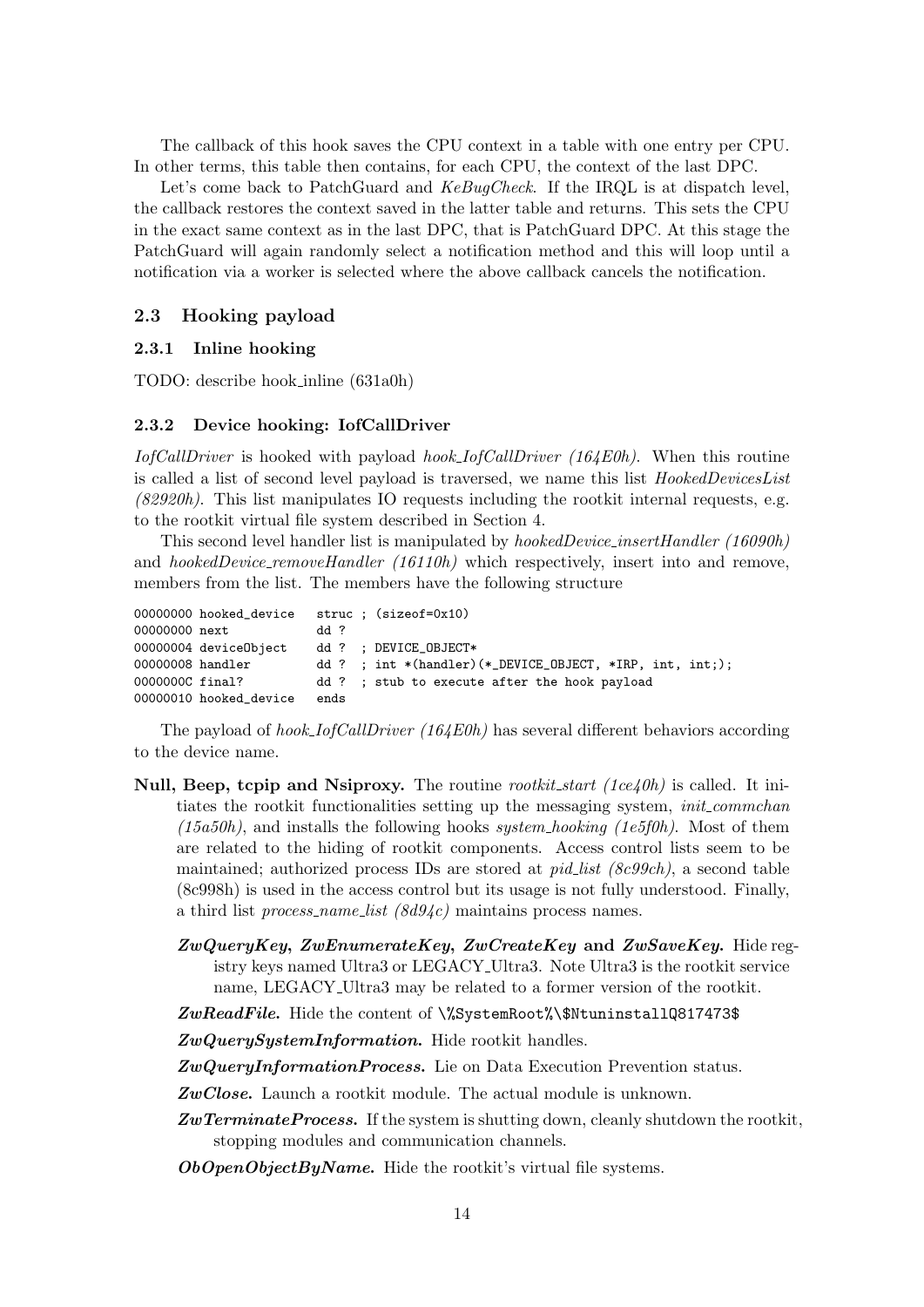The callback of this hook saves the CPU context in a table with one entry per CPU. In other terms, this table then contains, for each CPU, the context of the last DPC.

Let's come back to PatchGuard and KeBugCheck. If the IRQL is at dispatch level, the callback restores the context saved in the latter table and returns. This sets the CPU in the exact same context as in the last DPC, that is PatchGuard DPC. At this stage the PatchGuard will again randomly select a notification method and this will loop until a notification via a worker is selected where the above callback cancels the notification.

## 2.3 Hooking payload

### 2.3.1 Inline hooking

TODO: describe hook inline (631a0h)

#### 2.3.2 Device hooking: IofCallDriver

IofCallDriver is hooked with payload hook IofCallDriver (164E0h). When this routine is called a list of second level payload is traversed, we name this list HookedDevicesList  $(82920h)$ . This list manipulates IO requests including the rootkit internal requests, e.g. to the rootkit virtual file system described in Section 4.

This second level handler list is manipulated by hookedDevice insertHandler (16090h) and *hookedDevice\_removeHandler* (16110h) which respectively, insert into and remove, members from the list. The members have the following structure

|                  | 00000000 hooked_device |      | $struc:$ (sizeof=0x10)                                                              |
|------------------|------------------------|------|-------------------------------------------------------------------------------------|
| 00000000 next    |                        | 44 ? |                                                                                     |
|                  | 00000004 deviceObject  |      | dd ? ; DEVICE_OBJECT*                                                               |
| 00000008 handler |                        |      | dd ? ; int $*(\text{handler})(\text{* }$ DEVICE OBJECT, $*\text{IRP}$ , int, int;); |
| 0000000C final?  |                        |      | dd ? ; stub to execute after the hook payload                                       |
|                  | 00000010 hooked_device | ends |                                                                                     |

The payload of *hook\_IofCallDriver* (164E0h) has several different behaviors according to the device name.

- Null, Beep, tcpip and Nsiproxy. The routine rootkit start (1ce  $\ell$ 0h) is called. It initiates the rootkit functionalities setting up the messaging system, *init commchan*  $(15a50h)$ , and installs the following hooks system hooking (1e5f0h). Most of them are related to the hiding of rootkit components. Access control lists seem to be maintained; authorized process IDs are stored at *pid\_list (8c99ch)*, a second table (8c998h) is used in the access control but its usage is not fully understood. Finally, a third list *process\_name\_list*  $(\delta d94c)$  maintains process names.
	- $ZwQueryKey, ZwEnumerateKey, ZwCreateKey, and ZwSaveKey. Hide reg$ istry keys named Ultra3 or LEGACY Ultra3. Note Ultra3 is the rootkit service name, LEGACY Ultra3 may be related to a former version of the rootkit.

ZwReadFile. Hide the content of  $\sqrt{\$Y\}$ stemRoot $\sqrt{\$NtuninstallQ817473$}$ 

ZwQuerySystemInformation. Hide rootkit handles.

ZwQueryInformationProcess. Lie on Data Execution Prevention status.

ZwClose. Launch a rootkit module. The actual module is unknown.

ZwTerminateProcess. If the system is shutting down, cleanly shutdown the rootkit, stopping modules and communication channels.

 $\Omega bOpenObjectByName.$  Hide the rootkit's virtual file systems.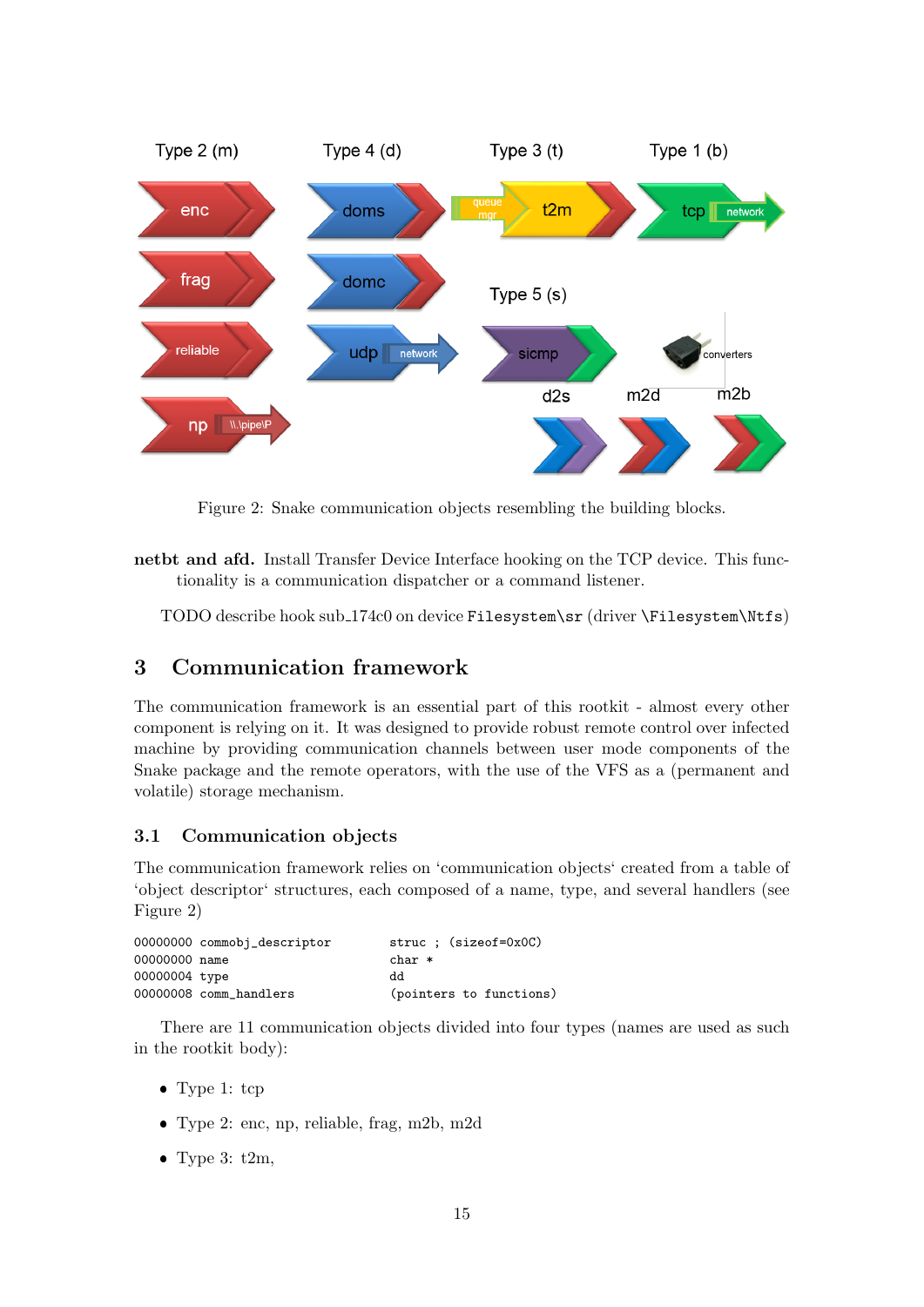

Figure 2: Snake communication objects resembling the building blocks.

netbt and afd. Install Transfer Device Interface hooking on the TCP device. This functionality is a communication dispatcher or a command listener.

TODO describe hook sub 174c0 on device Filesystem\sr (driver \Filesystem\Ntfs)

# 3 Communication framework

The communication framework is an essential part of this rootkit - almost every other component is relying on it. It was designed to provide robust remote control over infected machine by providing communication channels between user mode components of the Snake package and the remote operators, with the use of the VFS as a (permanent and volatile) storage mechanism.

## 3.1 Communication objects

The communication framework relies on 'communication objects' created from a table of 'object descriptor' structures, each composed of a name, type, and several handlers (see Figure 2)

|               | 00000000 commobj_descriptor | struc ; (sizeof=0x0C)   |
|---------------|-----------------------------|-------------------------|
| 00000000 name |                             | $char *$                |
| 00000004 type |                             | dd                      |
|               | 00000008 comm handlers      | (pointers to functions) |

There are 11 communication objects divided into four types (names are used as such in the rootkit body):

- Type 1: tcp
- Type 2: enc, np, reliable, frag, m2b, m2d
- $\bullet$  Type 3: t2m,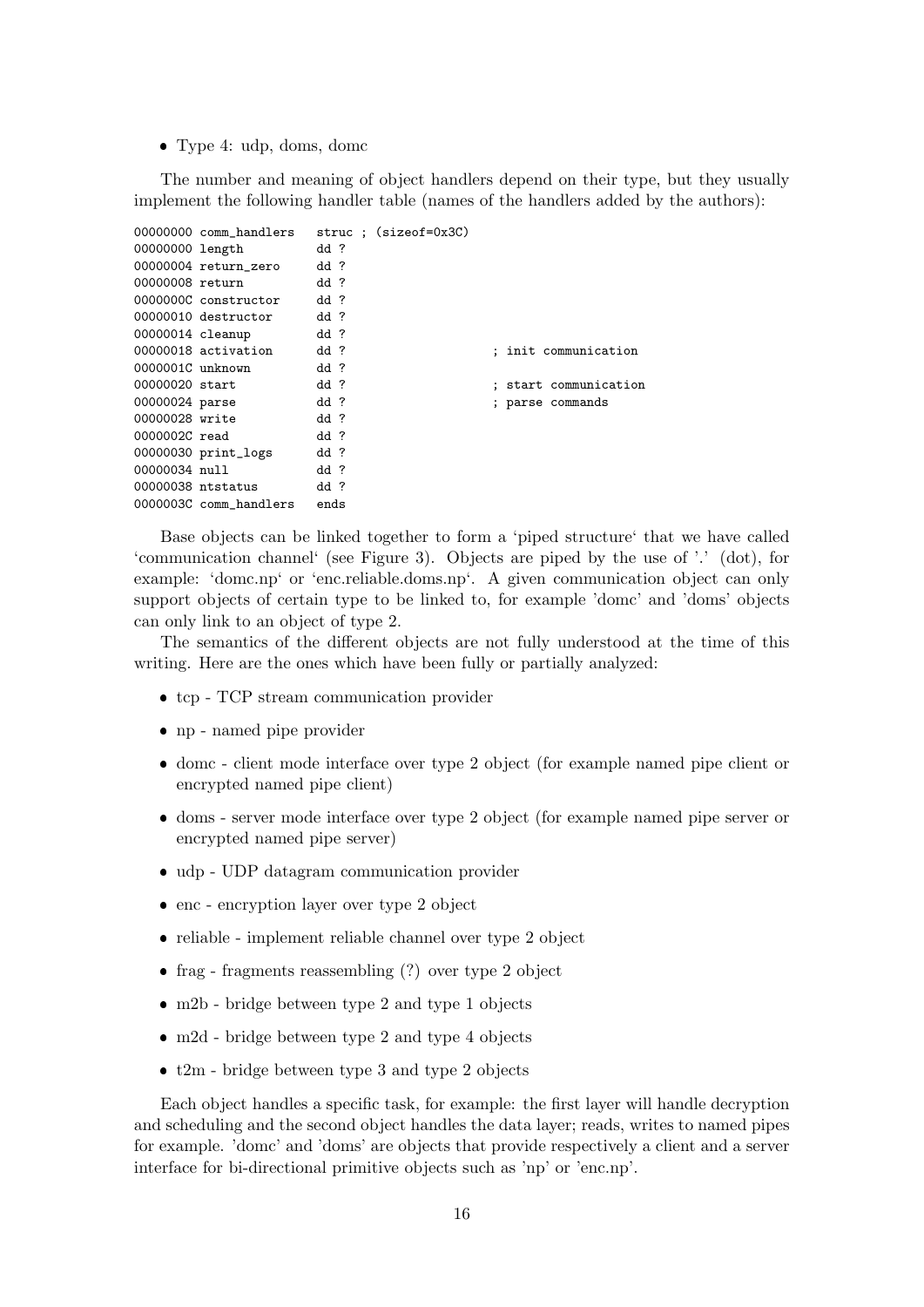Type 4: udp, doms, domc

The number and meaning of object handlers depend on their type, but they usually implement the following handler table (names of the handlers added by the authors):

```
00000000 comm_handlers struc ; (sizeof=0x3C)
00000000 length dd ?
00000004 return_zero dd ?
00000008 return dd ?
0000000C constructor dd ?
00000010 destructor dd ?
00000014 cleanup dd ?
00000018 activation dd ? (a) init communication
0000001C unknown dd ?
00000020 start dd ? (a) is tart communication dd ? (a) is start communication of the dd ? (a) is parse commands
                     dd ? ; parse commands
00000028 write dd ?
0000002C read dd ?
00000030 print_logs dd ?
00000034 null dd ?
00000038 ntstatus dd ?
0000003C comm_handlers ends
```
Base objects can be linked together to form a 'piped structure' that we have called 'communication channel' (see Figure 3). Objects are piped by the use of '.' (dot), for example: 'domc.np' or 'enc.reliable.doms.np'. A given communication object can only support objects of certain type to be linked to, for example 'domc' and 'doms' objects can only link to an object of type 2.

The semantics of the different objects are not fully understood at the time of this writing. Here are the ones which have been fully or partially analyzed:

- tcp TCP stream communication provider
- np named pipe provider
- domc client mode interface over type 2 object (for example named pipe client or encrypted named pipe client)
- doms server mode interface over type 2 object (for example named pipe server or encrypted named pipe server)
- udp UDP datagram communication provider
- enc encryption layer over type 2 object
- reliable implement reliable channel over type 2 object
- frag fragments reassembling (?) over type 2 object
- m2b bridge between type 2 and type 1 objects
- m2d bridge between type 2 and type 4 objects
- $\bullet$  t2m bridge between type 3 and type 2 objects

Each object handles a specific task, for example: the first layer will handle decryption and scheduling and the second object handles the data layer; reads, writes to named pipes for example. 'domc' and 'doms' are objects that provide respectively a client and a server interface for bi-directional primitive objects such as 'np' or 'enc.np'.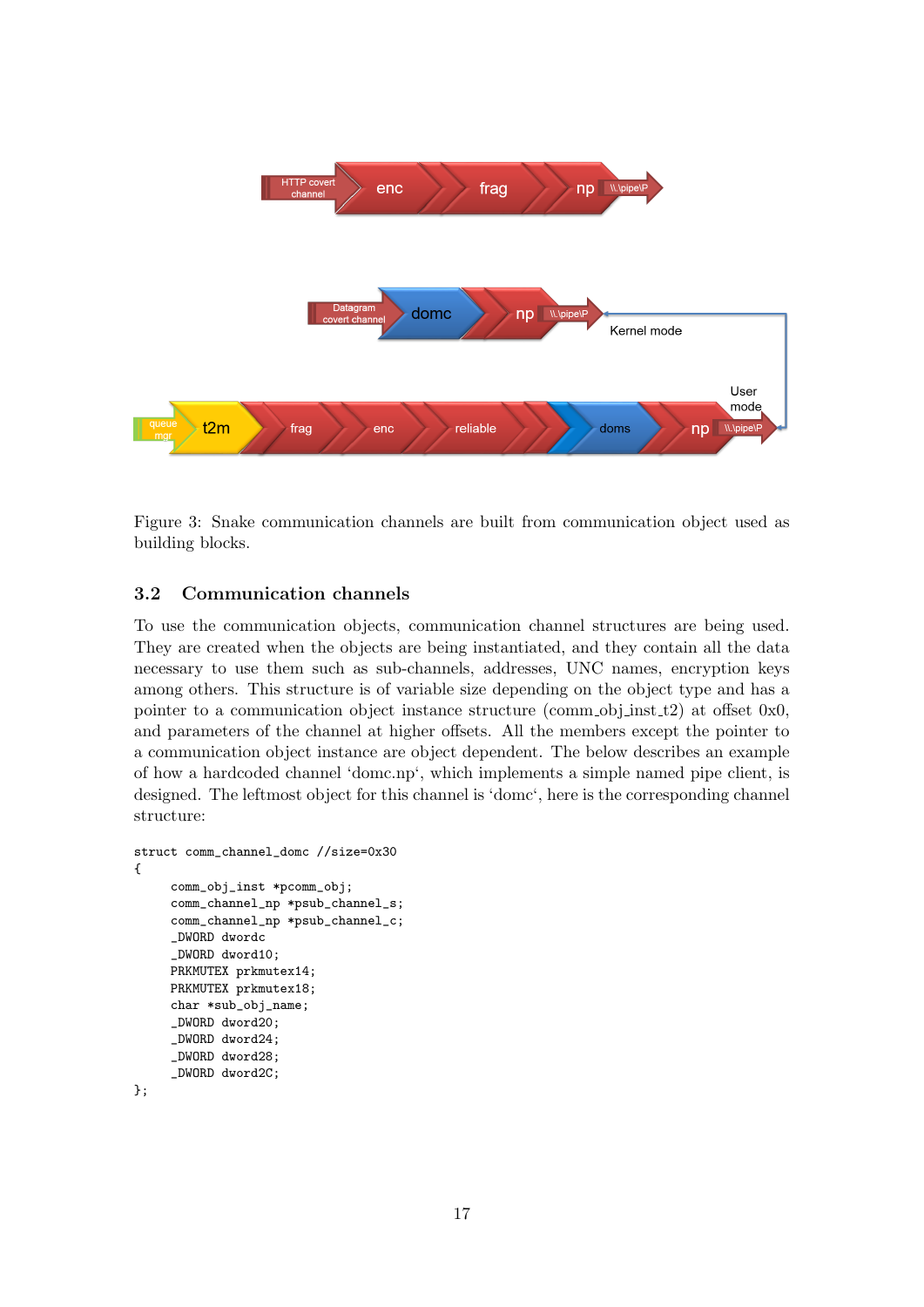

Figure 3: Snake communication channels are built from communication object used as building blocks.

## 3.2 Communication channels

To use the communication objects, communication channel structures are being used. They are created when the objects are being instantiated, and they contain all the data necessary to use them such as sub-channels, addresses, UNC names, encryption keys among others. This structure is of variable size depending on the object type and has a pointer to a communication object instance structure (comm obj inst  $t2$ ) at offset 0x0, and parameters of the channel at higher offsets. All the members except the pointer to a communication object instance are object dependent. The below describes an example of how a hardcoded channel 'domc.np', which implements a simple named pipe client, is designed. The leftmost object for this channel is 'domc', here is the corresponding channel structure:

```
struct comm_channel_domc //size=0x30
{
     comm_obj_inst *pcomm_obj;
     comm_channel_np *psub_channel_s;
     comm_channel_np *psub_channel_c;
     _DWORD dwordc
     _DWORD dword10;
     PRKMUTEX prkmutex14;
     PRKMUTEX prkmutex18;
     char *sub_obj_name;
     _DWORD dword20;
     _DWORD dword24;
     _DWORD dword28;
     _DWORD dword2C;
};
```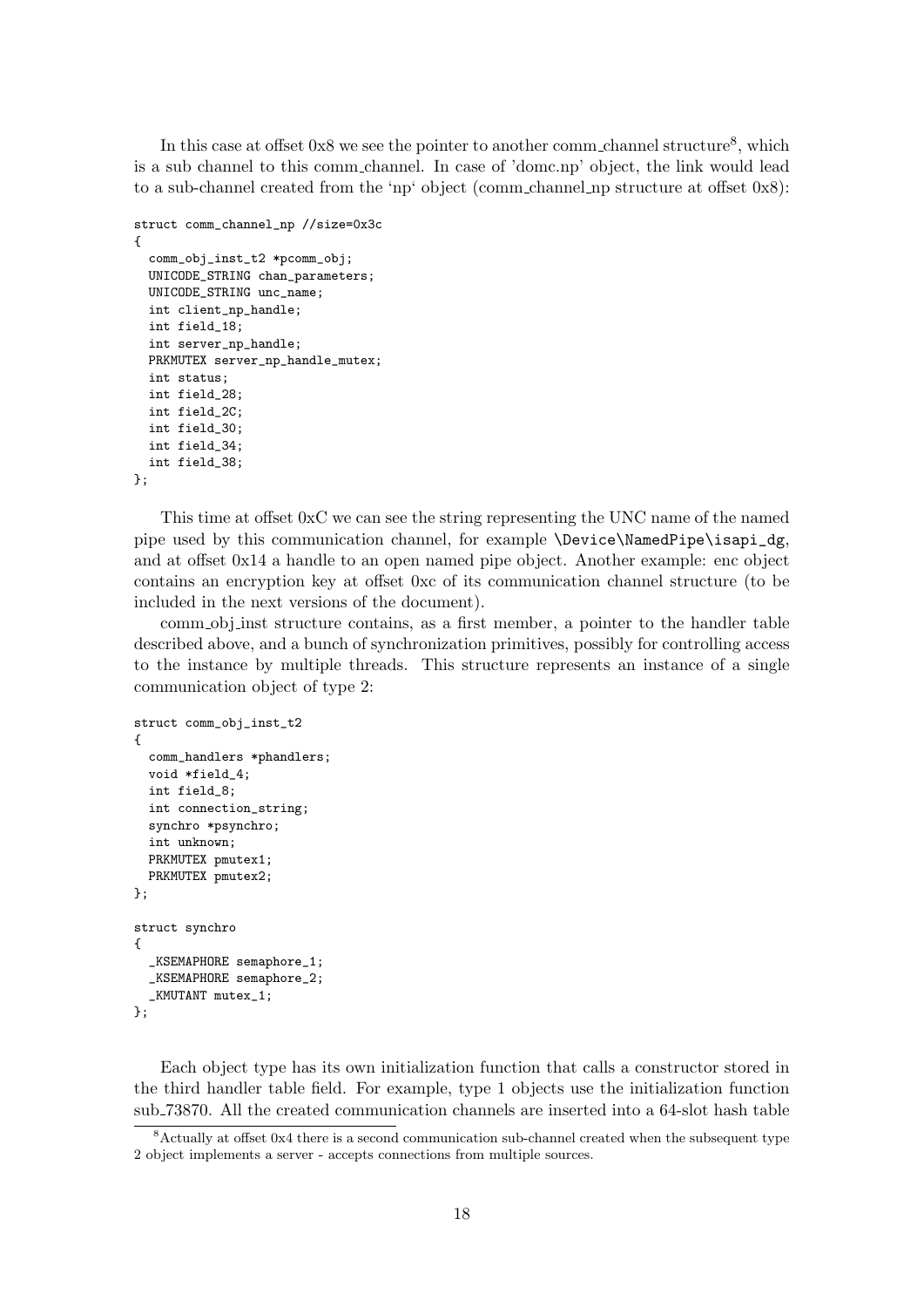In this case at offset  $0x8$  we see the pointer to another comm channel structure<sup>8</sup>, which is a sub channel to this comm channel. In case of 'domc.np' object, the link would lead to a sub-channel created from the 'np' object (comm channel np structure at offset 0x8):

```
struct comm_channel_np //size=0x3c
{
  comm_obj_inst_t2 *pcomm_obj;
 UNICODE_STRING chan_parameters;
 UNICODE_STRING unc_name;
 int client_np_handle;
 int field_18;
 int server_np_handle;
 PRKMUTEX server_np_handle_mutex;
 int status;
 int field_28;
 int field_2C;
 int field_30;
 int field_34;
 int field_38;
};
```
This time at offset 0xC we can see the string representing the UNC name of the named pipe used by this communication channel, for example \Device\NamedPipe\isapi\_dg, and at offset 0x14 a handle to an open named pipe object. Another example: enc object contains an encryption key at offset 0xc of its communication channel structure (to be included in the next versions of the document).

comm obj inst structure contains, as a first member, a pointer to the handler table described above, and a bunch of synchronization primitives, possibly for controlling access to the instance by multiple threads. This structure represents an instance of a single communication object of type 2:

```
struct comm_obj_inst_t2
{
  comm_handlers *phandlers;
  void *field_4;
  int field_8;
  int connection_string;
  synchro *psynchro;
  int unknown;
  PRKMUTEX pmutex1;
  PRKMUTEX pmutex2;
};
struct synchro
{
  _KSEMAPHORE semaphore_1;
  _KSEMAPHORE semaphore_2;
  _KMUTANT mutex_1;
};
```
Each object type has its own initialization function that calls a constructor stored in the third handler table field. For example, type 1 objects use the initialization function sub 73870. All the created communication channels are inserted into a 64-slot hash table

<sup>8</sup>Actually at offset 0x4 there is a second communication sub-channel created when the subsequent type 2 object implements a server - accepts connections from multiple sources.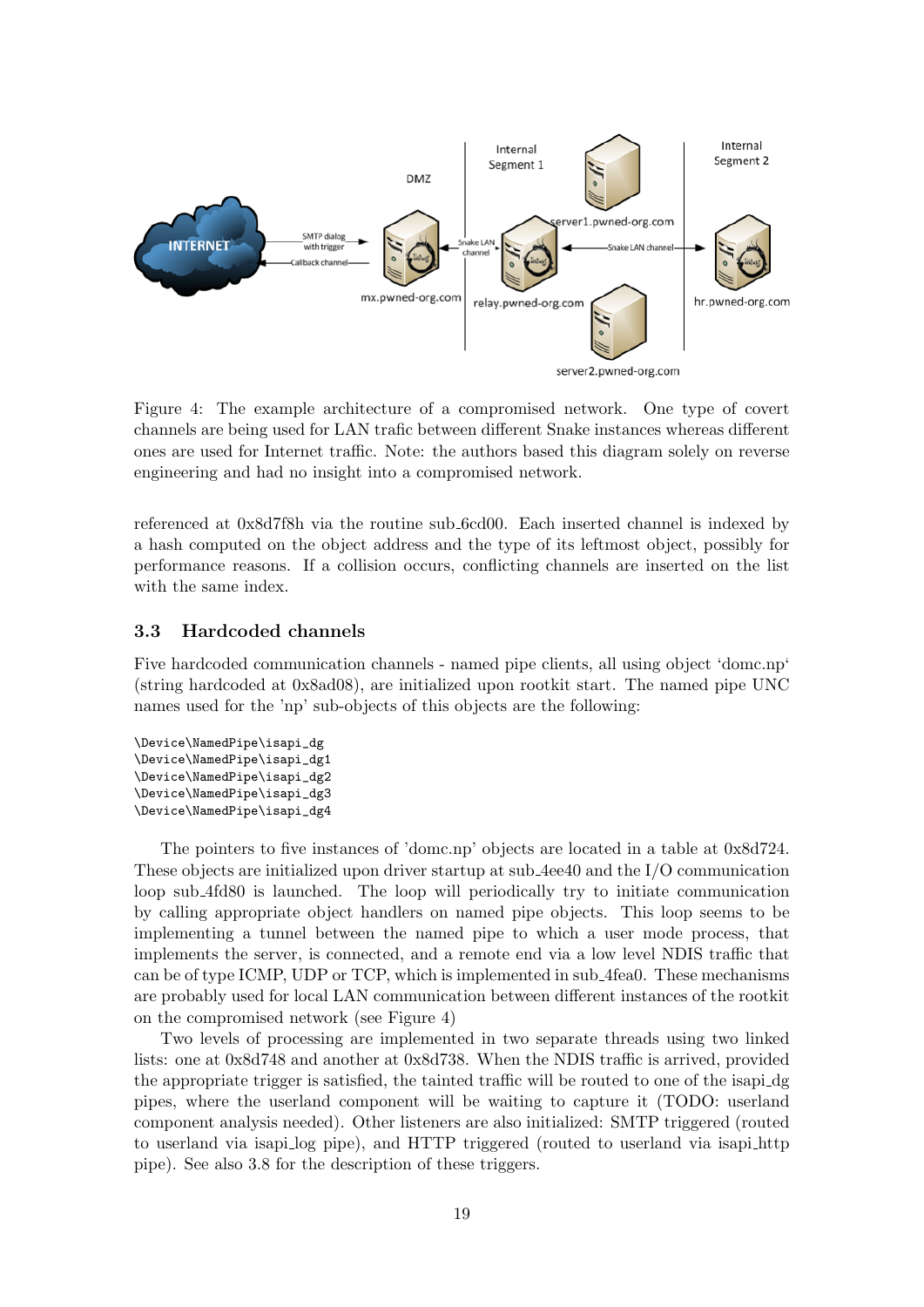

Figure 4: The example architecture of a compromised network. One type of covert channels are being used for LAN trafic between different Snake instances whereas different ones are used for Internet traffic. Note: the authors based this diagram solely on reverse engineering and had no insight into a compromised network.

referenced at 0x8d7f8h via the routine sub 6cd00. Each inserted channel is indexed by a hash computed on the object address and the type of its leftmost object, possibly for performance reasons. If a collision occurs, conflicting channels are inserted on the list with the same index.

## 3.3 Hardcoded channels

Five hardcoded communication channels - named pipe clients, all using object 'domc.np' (string hardcoded at 0x8ad08), are initialized upon rootkit start. The named pipe UNC names used for the 'np' sub-objects of this objects are the following:

```
\Device\NamedPipe\isapi_dg
\Device\NamedPipe\isapi_dg1
\Device\NamedPipe\isapi_dg2
\Device\NamedPipe\isapi_dg3
\Device\NamedPipe\isapi_dg4
```
The pointers to five instances of 'domc.np' objects are located in a table at 0x8d724. These objects are initialized upon driver startup at sub 4ee40 and the I/O communication loop sub 4fd80 is launched. The loop will periodically try to initiate communication by calling appropriate object handlers on named pipe objects. This loop seems to be implementing a tunnel between the named pipe to which a user mode process, that implements the server, is connected, and a remote end via a low level NDIS traffic that can be of type ICMP, UDP or TCP, which is implemented in sub 4fea0. These mechanisms are probably used for local LAN communication between different instances of the rootkit on the compromised network (see Figure 4)

Two levels of processing are implemented in two separate threads using two linked lists: one at 0x8d748 and another at 0x8d738. When the NDIS traffic is arrived, provided the appropriate trigger is satisfied, the tainted traffic will be routed to one of the isapi dg pipes, where the userland component will be waiting to capture it (TODO: userland component analysis needed). Other listeners are also initialized: SMTP triggered (routed to userland via isapi log pipe), and HTTP triggered (routed to userland via isapi http pipe). See also 3.8 for the description of these triggers.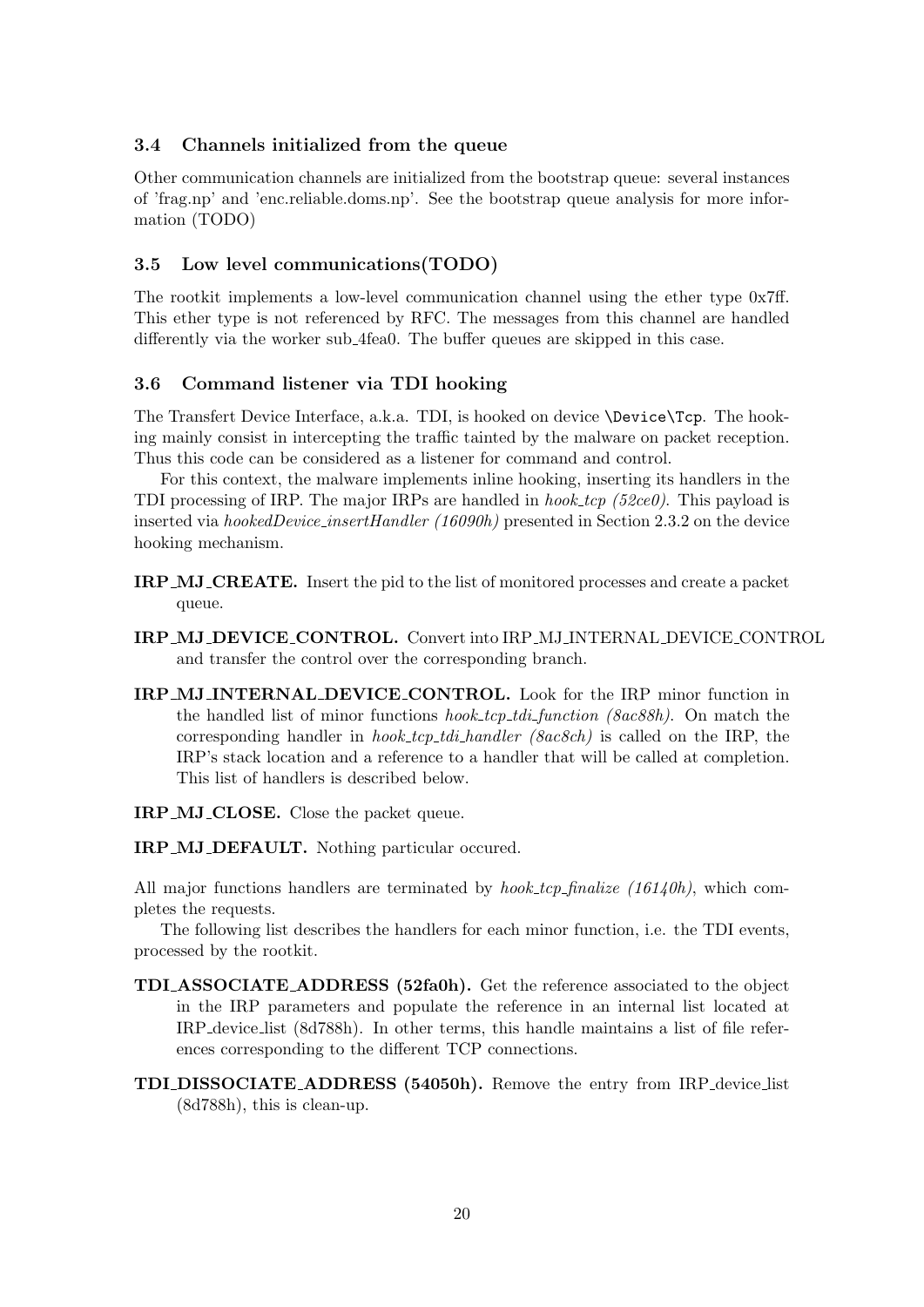## 3.4 Channels initialized from the queue

Other communication channels are initialized from the bootstrap queue: several instances of 'frag.np' and 'enc.reliable.doms.np'. See the bootstrap queue analysis for more information (TODO)

## 3.5 Low level communications(TODO)

The rootkit implements a low-level communication channel using the ether type 0x7ff. This ether type is not referenced by RFC. The messages from this channel are handled differently via the worker sub 4fea0. The buffer queues are skipped in this case.

## 3.6 Command listener via TDI hooking

The Transfert Device Interface, a.k.a. TDI, is hooked on device \Device\Tcp. The hooking mainly consist in intercepting the traffic tainted by the malware on packet reception. Thus this code can be considered as a listener for command and control.

For this context, the malware implements inline hooking, inserting its handlers in the TDI processing of IRP. The major IRPs are handled in *hook.tcp (52ce0)*. This payload is inserted via hookedDevice insertHandler (16090h) presented in Section 2.3.2 on the device hooking mechanism.

- IRP MJ CREATE. Insert the pid to the list of monitored processes and create a packet queue.
- IRP MJ DEVICE CONTROL. Convert into IRP MJ INTERNAL DEVICE CONTROL and transfer the control over the corresponding branch.
- IRP MJ INTERNAL DEVICE CONTROL. Look for the IRP minor function in the handled list of minor functions *hook\_tcp\_tdi\_function (8ac88h)*. On match the corresponding handler in *hook\_tcp\_tdi\_handler* ( $\text{8ac8ch}$ ) is called on the IRP, the IRP's stack location and a reference to a handler that will be called at completion. This list of handlers is described below.

IRP MJ CLOSE. Close the packet queue.

IRP MJ DEFAULT. Nothing particular occured.

All major functions handlers are terminated by *hook\_tcp\_finalize*  $(16140h)$ , which completes the requests.

The following list describes the handlers for each minor function, i.e. the TDI events, processed by the rootkit.

- TDI ASSOCIATE ADDRESS (52fa0h). Get the reference associated to the object in the IRP parameters and populate the reference in an internal list located at IRP device list (8d788h). In other terms, this handle maintains a list of file references corresponding to the different TCP connections.
- TDI DISSOCIATE ADDRESS (54050h). Remove the entry from IRP device list (8d788h), this is clean-up.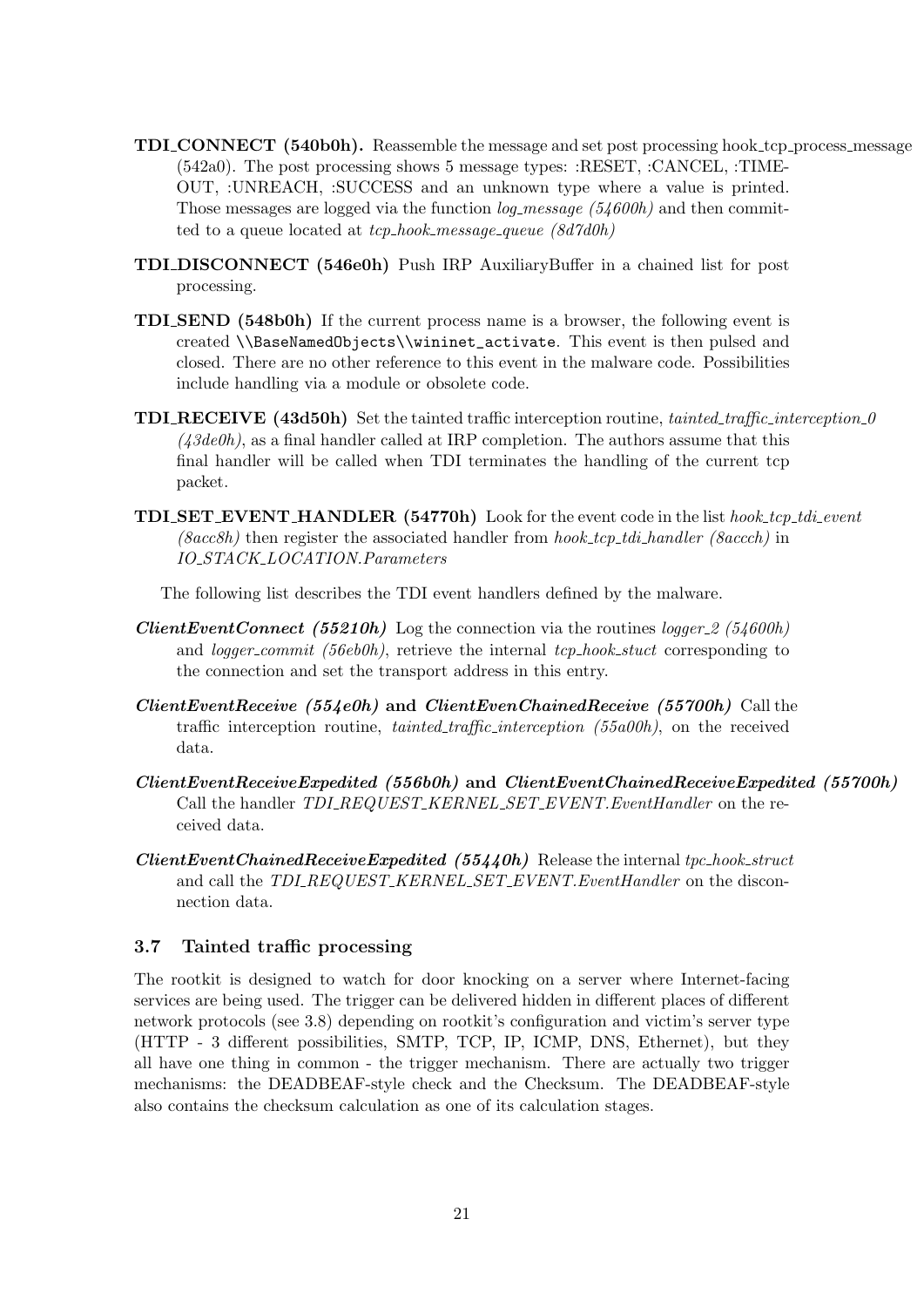- TDI CONNECT (540b0h). Reassemble the message and set post processing hook tcp process message (542a0). The post processing shows 5 message types: :RESET, :CANCEL, :TIME-OUT, :UNREACH, :SUCCESS and an unknown type where a value is printed. Those messages are logged via the function  $log\_message$  (54600h) and then committed to a queue located at  $tcp\_hook\_message\_queue$  (8d7d0h)
- TDI DISCONNECT (546e0h) Push IRP AuxiliaryBuffer in a chained list for post processing.
- TDI SEND (548b0h) If the current process name is a browser, the following event is created \\BaseNamedObjects\\wininet\_activate. This event is then pulsed and closed. There are no other reference to this event in the malware code. Possibilities include handling via a module or obsolete code.
- TDI RECEIVE (43d50h) Set the tainted traffic interception routine, tainted traffic interception 0  $(43de0h)$ , as a final handler called at IRP completion. The authors assume that this final handler will be called when TDI terminates the handling of the current tcp packet.
- TDI SET EVENT HANDLER (54770h) Look for the event code in the list hook tcp tdi event  $(Sacc8h)$  then register the associated handler from hook\_tcp\_tdi\_handler (Saccch) in IO STACK LOCATION.Parameters

The following list describes the TDI event handlers defined by the malware.

- **ClientEventConnect** (55210h) Log the connection via the routines logger 2 (54600h) and *logger\_commit* (56eb0h), retrieve the internal  $tcp\_hook$  corrections.the connection and set the transport address in this entry.
- $ClientEventReceive (554e0h)$  and  $ClientEvenChainedReceive (55700h)$  Call the traffic interception routine, tainted traffic interception (55a00h), on the received data.
- ClientEventReceiveExpedited (556b0h) and ClientEventChainedReceiveExpedited (55700h) Call the handler  $TDI\_REQUEST\_KERNEL\_SET\_EVENT. EventHandler$  on the received data.
- $ClientEventChainedReceived (55440h)$  Release the internal tpc\_hook\_struct and call the  $TDLREQUEST\_KERNEL\_SET\_EVENT.EventHandler$  on the disconnection data.

## 3.7 Tainted traffic processing

The rootkit is designed to watch for door knocking on a server where Internet-facing services are being used. The trigger can be delivered hidden in different places of different network protocols (see 3.8) depending on rootkit's configuration and victim's server type (HTTP - 3 different possibilities, SMTP, TCP, IP, ICMP, DNS, Ethernet), but they all have one thing in common - the trigger mechanism. There are actually two trigger mechanisms: the DEADBEAF-style check and the Checksum. The DEADBEAF-style also contains the checksum calculation as one of its calculation stages.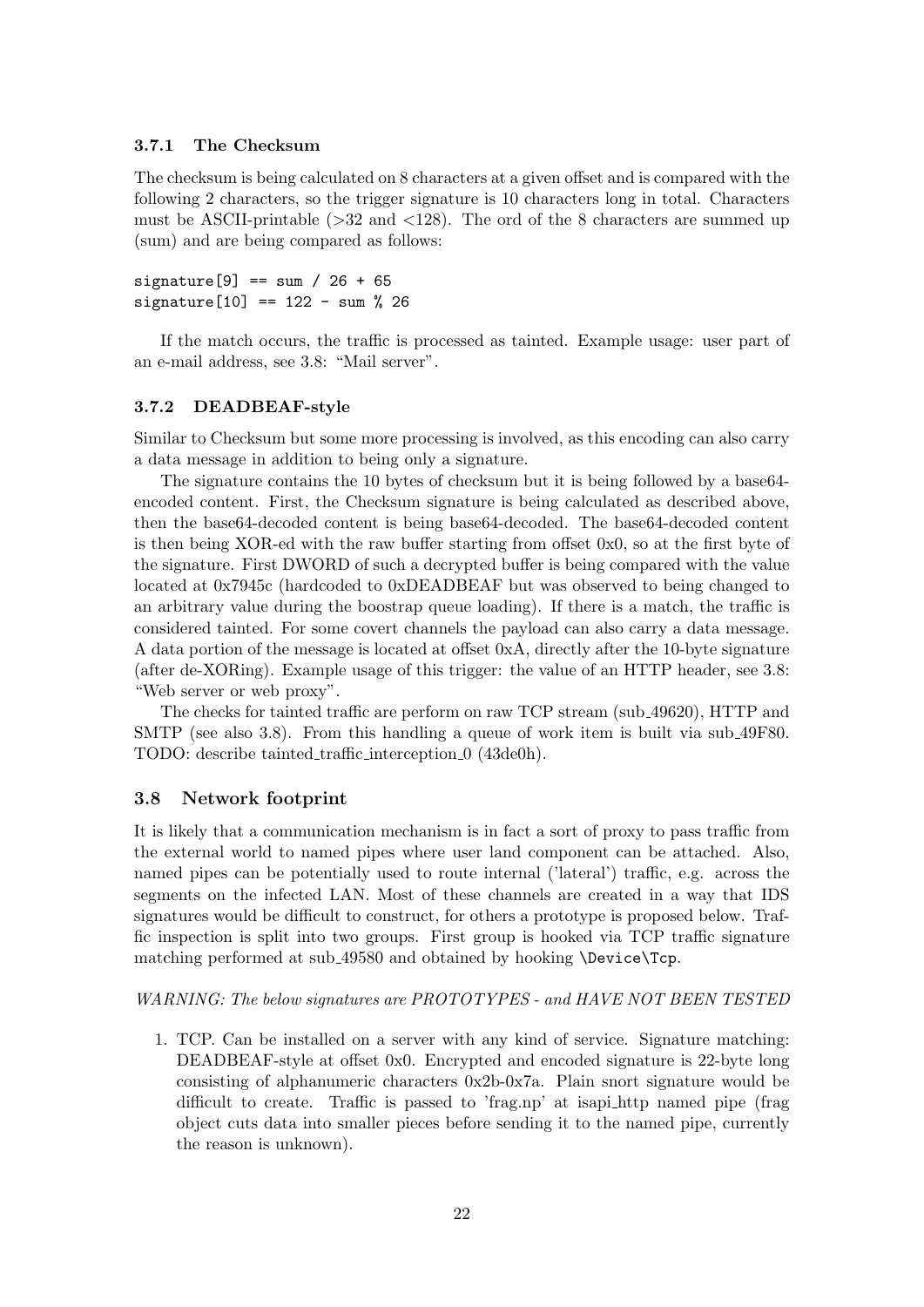#### 3.7.1 The Checksum

The checksum is being calculated on 8 characters at a given offset and is compared with the following 2 characters, so the trigger signature is 10 characters long in total. Characters must be ASCII-printable  $(>=32$  and  $<128$ ). The ord of the 8 characters are summed up (sum) and are being compared as follows:

signature [9] == sum / 26 + 65  $signature[10] == 122 - sum % 26$ 

If the match occurs, the traffic is processed as tainted. Example usage: user part of an e-mail address, see 3.8: "Mail server".

## 3.7.2 DEADBEAF-style

Similar to Checksum but some more processing is involved, as this encoding can also carry a data message in addition to being only a signature.

The signature contains the 10 bytes of checksum but it is being followed by a base64 encoded content. First, the Checksum signature is being calculated as described above, then the base64-decoded content is being base64-decoded. The base64-decoded content is then being XOR-ed with the raw buffer starting from offset 0x0, so at the first byte of the signature. First DWORD of such a decrypted buffer is being compared with the value located at 0x7945c (hardcoded to 0xDEADBEAF but was observed to being changed to an arbitrary value during the boostrap queue loading). If there is a match, the traffic is considered tainted. For some covert channels the payload can also carry a data message. A data portion of the message is located at offset 0xA, directly after the 10-byte signature (after de-XORing). Example usage of this trigger: the value of an HTTP header, see 3.8: "Web server or web proxy".

The checks for tainted traffic are perform on raw TCP stream (sub 49620), HTTP and SMTP (see also 3.8). From this handling a queue of work item is built via sub 49F80. TODO: describe tainted\_traffic\_interception\_0 (43de0h).

#### 3.8 Network footprint

It is likely that a communication mechanism is in fact a sort of proxy to pass traffic from the external world to named pipes where user land component can be attached. Also, named pipes can be potentially used to route internal ('lateral') traffic, e.g. across the segments on the infected LAN. Most of these channels are created in a way that IDS signatures would be difficult to construct, for others a prototype is proposed below. Traffic inspection is split into two groups. First group is hooked via TCP traffic signature matching performed at sub 49580 and obtained by hooking \Device\Tcp.

#### WARNING: The below signatures are PROTOTYPES - and HAVE NOT BEEN TESTED

1. TCP. Can be installed on a server with any kind of service. Signature matching: DEADBEAF-style at offset 0x0. Encrypted and encoded signature is 22-byte long consisting of alphanumeric characters 0x2b-0x7a. Plain snort signature would be difficult to create. Traffic is passed to 'frag.np' at isapi http named pipe (frag object cuts data into smaller pieces before sending it to the named pipe, currently the reason is unknown).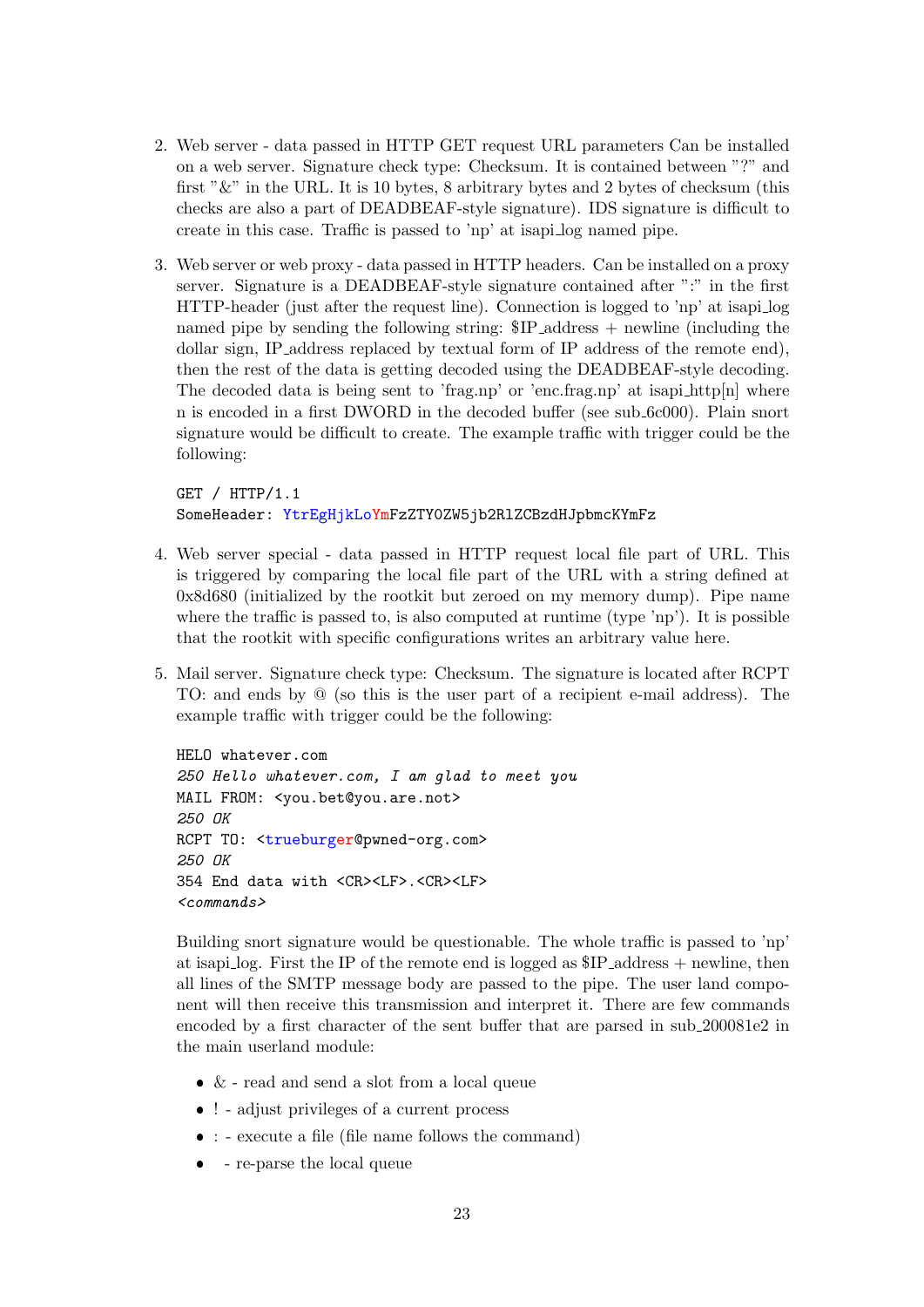- 2. Web server data passed in HTTP GET request URL parameters Can be installed on a web server. Signature check type: Checksum. It is contained between "?" and first " $\&$ " in the URL. It is 10 bytes, 8 arbitrary bytes and 2 bytes of checksum (this checks are also a part of DEADBEAF-style signature). IDS signature is difficult to create in this case. Traffic is passed to 'np' at isapi log named pipe.
- 3. Web server or web proxy data passed in HTTP headers. Can be installed on a proxy server. Signature is a DEADBEAF-style signature contained after ":" in the first HTTP-header (just after the request line). Connection is logged to 'np' at isapi log named pipe by sending the following string: \$IP address + newline (including the dollar sign, IP address replaced by textual form of IP address of the remote end), then the rest of the data is getting decoded using the DEADBEAF-style decoding. The decoded data is being sent to 'frag.np' or 'enc.frag.np' at isapi http[n] where n is encoded in a first DWORD in the decoded buffer (see sub 6c000). Plain snort signature would be difficult to create. The example traffic with trigger could be the following:

GET / HTTP/1.1 SomeHeader: YtrEgHjkLoYmFzZTY0ZW5jb2RlZCBzdHJpbmcKYmFz

- 4. Web server special data passed in HTTP request local file part of URL. This is triggered by comparing the local file part of the URL with a string defined at 0x8d680 (initialized by the rootkit but zeroed on my memory dump). Pipe name where the traffic is passed to, is also computed at runtime (type 'np'). It is possible that the rootkit with specific configurations writes an arbitrary value here.
- 5. Mail server. Signature check type: Checksum. The signature is located after RCPT TO: and ends by @ (so this is the user part of a recipient e-mail address). The example traffic with trigger could be the following:

HELO whatever.com 250 Hello whatever.com, I am glad to meet you MAIL FROM: <you.bet@you.are.not> 250 OK RCPT TO: <trueburger@pwned-org.com> 250 OK 354 End data with <CR><LF>.<CR><LF> <commands>

Building snort signature would be questionable. The whole traffic is passed to 'np' at isapi log. First the IP of the remote end is logged as \$IP address + newline, then all lines of the SMTP message body are passed to the pipe. The user land component will then receive this transmission and interpret it. There are few commands encoded by a first character of the sent buffer that are parsed in sub 200081e2 in the main userland module:

- $\bullet$  & read and send a slot from a local queue
- ! adjust privileges of a current process
- : execute a file (file name follows the command)
- re-parse the local queue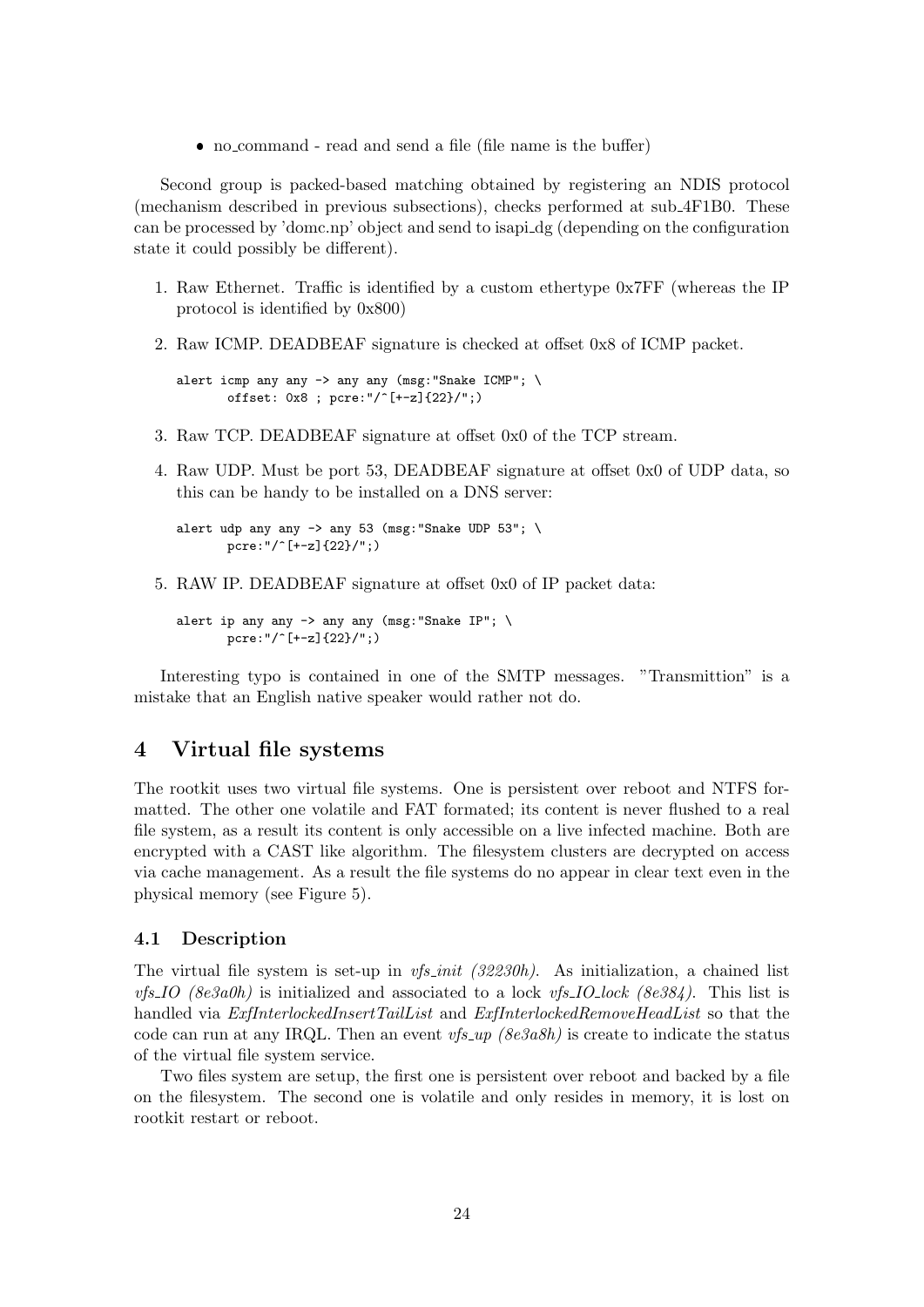no command - read and send a file (file name is the buffer)

Second group is packed-based matching obtained by registering an NDIS protocol (mechanism described in previous subsections), checks performed at sub 4F1B0. These can be processed by 'domc.np' object and send to isapi dg (depending on the configuration state it could possibly be different).

- 1. Raw Ethernet. Traffic is identified by a custom ethertype 0x7FF (whereas the IP protocol is identified by 0x800)
- 2. Raw ICMP. DEADBEAF signature is checked at offset 0x8 of ICMP packet.

```
alert icmp any any -> any any (msg: "Snake ICMP"; \
       offset: 0x8 ; pcre:"/^[+-z]{22}/";)
```
- 3. Raw TCP. DEADBEAF signature at offset 0x0 of the TCP stream.
- 4. Raw UDP. Must be port 53, DEADBEAF signature at offset 0x0 of UDP data, so this can be handy to be installed on a DNS server:

```
alert udp any any \rightarrow any 53 (msg: "Snake UDP 53"; \
       pcre:"/^[+-z]{22}/";)
```
5. RAW IP. DEADBEAF signature at offset 0x0 of IP packet data:

```
alert ip any any \rightarrow any any (msg: "Snake IP"; \
       pcre:"/^[+-z]{22}/";)
```
Interesting typo is contained in one of the SMTP messages. "Transmittion" is a mistake that an English native speaker would rather not do.

# 4 Virtual file systems

The rootkit uses two virtual file systems. One is persistent over reboot and NTFS formatted. The other one volatile and FAT formated; its content is never flushed to a real file system, as a result its content is only accessible on a live infected machine. Both are encrypted with a CAST like algorithm. The filesystem clusters are decrypted on access via cache management. As a result the file systems do no appear in clear text even in the physical memory (see Figure 5).

#### 4.1 Description

The virtual file system is set-up in  $vfs\_init$  (32230h). As initialization, a chained list *vfs\_IO* (8e3a0h) is initialized and associated to a lock *vfs\_IO\_lock* (8e384). This list is handled via  $ExflnterlockedInsertTailList$  and  $ExflnterlockedRemoveHeadList$  so that the code can run at any IRQL. Then an event  $vfs \llcorner w \sim (\delta e \delta a \delta h)$  is create to indicate the status of the virtual file system service.

Two files system are setup, the first one is persistent over reboot and backed by a file on the filesystem. The second one is volatile and only resides in memory, it is lost on rootkit restart or reboot.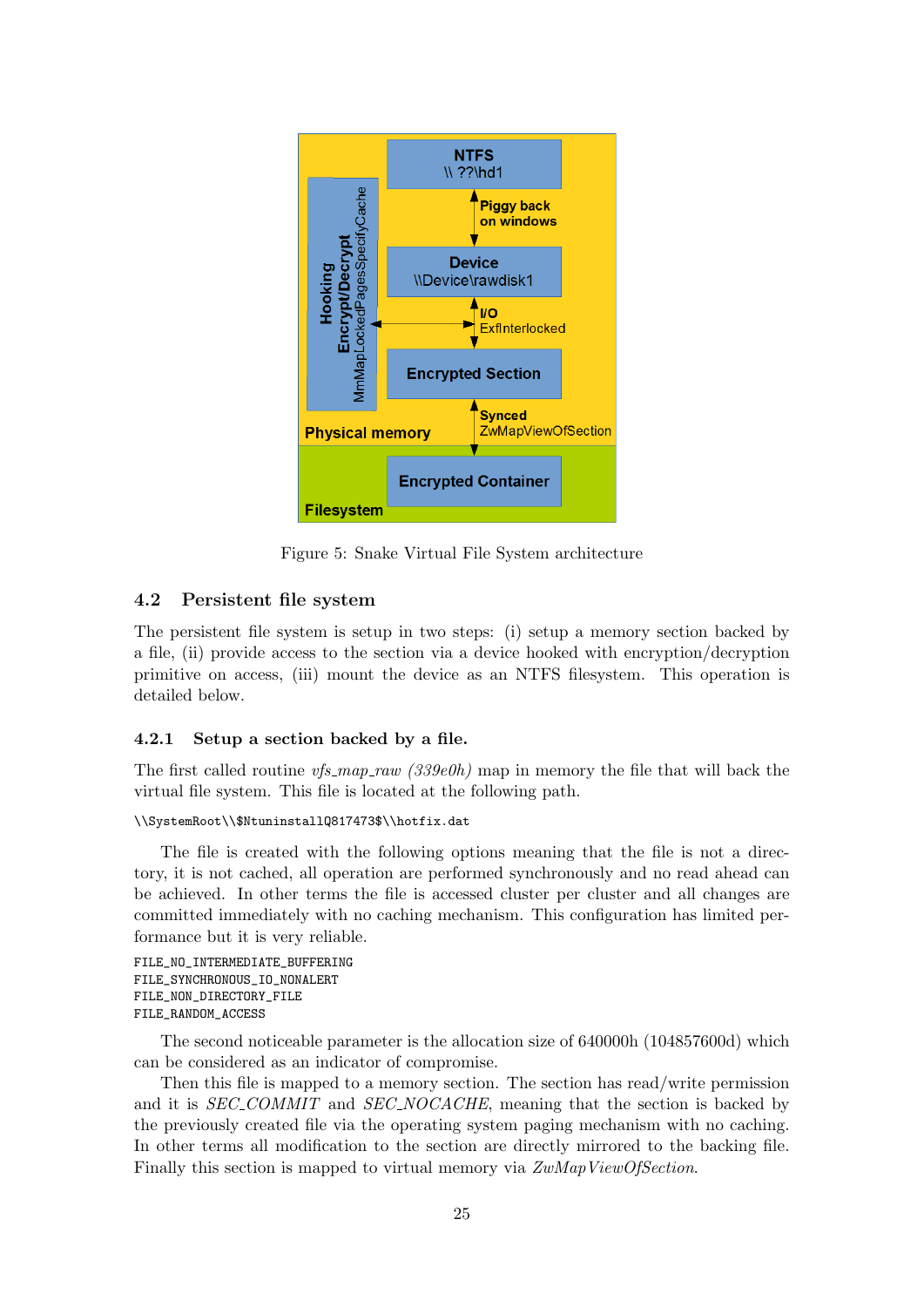

Figure 5: Snake Virtual File System architecture

## 4.2 Persistent file system

The persistent file system is setup in two steps: (i) setup a memory section backed by a file, (ii) provide access to the section via a device hooked with encryption/decryption primitive on access, (iii) mount the device as an NTFS filesystem. This operation is detailed below.

## 4.2.1 Setup a section backed by a file.

The first called routine  $vfs_map_raw$  (339e0h) map in memory the file that will back the virtual file system. This file is located at the following path.

```
\\SystemRoot\\$NtuninstallQ817473$\\hotfix.dat
```
The file is created with the following options meaning that the file is not a directory, it is not cached, all operation are performed synchronously and no read ahead can be achieved. In other terms the file is accessed cluster per cluster and all changes are committed immediately with no caching mechanism. This configuration has limited performance but it is very reliable.

```
FILE_NO_INTERMEDIATE_BUFFERING
FILE SYNCHRONOUS IO NONALERT
FILE_NON_DIRECTORY_FILE
FILE_RANDOM_ACCESS
```
The second noticeable parameter is the allocation size of 640000h (104857600d) which can be considered as an indicator of compromise.

Then this file is mapped to a memory section. The section has read/write permission and it is *SEC\_COMMIT* and *SEC\_NOCACHE*, meaning that the section is backed by the previously created file via the operating system paging mechanism with no caching. In other terms all modification to the section are directly mirrored to the backing file. Finally this section is mapped to virtual memory via  $ZwMapViewOfSection$ .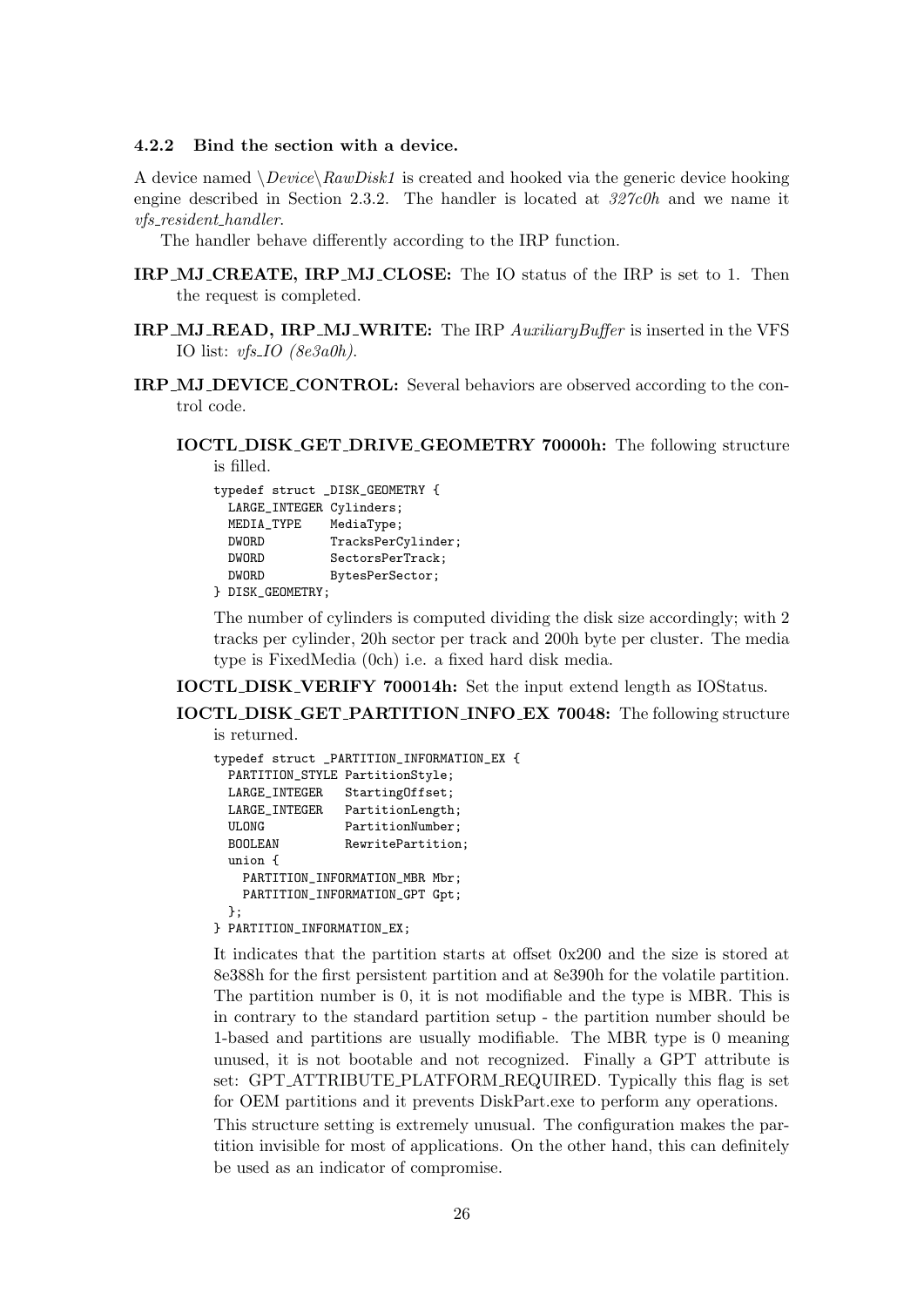## 4.2.2 Bind the section with a device.

A device named  $\Delta$  *Device* $\langle RawDisk1 \rangle$  is created and hooked via the generic device hooking engine described in Section 2.3.2. The handler is located at  $327c0h$  and we name it vfs resident handler.

The handler behave differently according to the IRP function.

- IRP MJ CREATE, IRP MJ CLOSE: The IO status of the IRP is set to 1. Then the request is completed.
- IRP\_MJ\_READ, IRP\_MJ\_WRITE: The IRP AuxiliaryBuffer is inserted in the VFS IO list:  $vfs\_IO$  (8e3a0h).
- IRP MJ DEVICE CONTROL: Several behaviors are observed according to the control code.
	- IOCTL DISK GET DRIVE GEOMETRY 70000h: The following structure is filled.

|                          | typedef struct _DISK_GEOMETRY { |
|--------------------------|---------------------------------|
| LARGE_INTEGER Cylinders; |                                 |
| MEDIA_TYPE               | MediaType;                      |
| <b>DWORD</b>             | TracksPerCylinder;              |
| <b>DWORD</b>             | SectorsPerTrack;                |
| <b>DWORD</b>             | BytesPerSector;                 |
|                          |                                 |

} DISK\_GEOMETRY;

The number of cylinders is computed dividing the disk size accordingly; with 2 tracks per cylinder, 20h sector per track and 200h byte per cluster. The media type is FixedMedia (0ch) i.e. a fixed hard disk media.

IOCTL DISK VERIFY 700014h: Set the input extend length as IOStatus.

IOCTL DISK GET PARTITION INFO EX 70048: The following structure

is returned.

```
typedef struct PARTITION INFORMATION EX {
 PARTITION_STYLE PartitionStyle;
 LARGE_INTEGER StartingOffset;
 LARGE_INTEGER PartitionLength;
 ULONG PartitionNumber;
 BOOLEAN RewritePartition;
 union {
   PARTITION_INFORMATION_MBR Mbr;
   PARTITION INFORMATION GPT Gpt:
 };
} PARTITION_INFORMATION_EX;
```
It indicates that the partition starts at offset 0x200 and the size is stored at 8e388h for the first persistent partition and at 8e390h for the volatile partition. The partition number is 0, it is not modifiable and the type is MBR. This is in contrary to the standard partition setup - the partition number should be 1-based and partitions are usually modifiable. The MBR type is 0 meaning unused, it is not bootable and not recognized. Finally a GPT attribute is set: GPT ATTRIBUTE PLATFORM REQUIRED. Typically this flag is set for OEM partitions and it prevents DiskPart.exe to perform any operations.

This structure setting is extremely unusual. The configuration makes the partition invisible for most of applications. On the other hand, this can definitely be used as an indicator of compromise.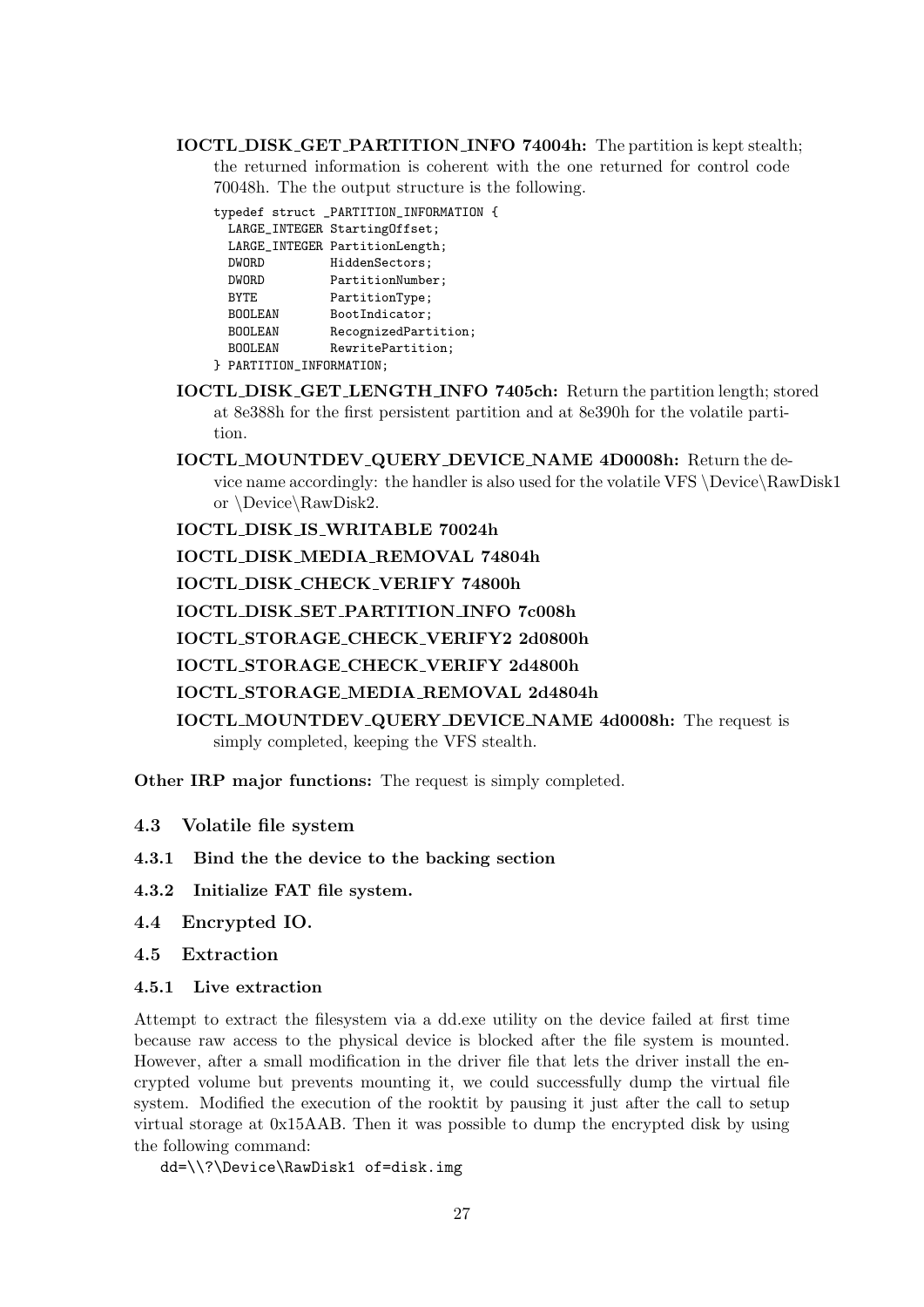IOCTL DISK GET PARTITION INFO 74004h: The partition is kept stealth; the returned information is coherent with the one returned for control code 70048h. The the output structure is the following.

typedef struct \_PARTITION\_INFORMATION { LARGE\_INTEGER StartingOffset; LARGE\_INTEGER PartitionLength; DWORD HiddenSectors;<br>DWORD PartitionNumber PartitionNumber; BYTE PartitionType; BOOLEAN BootIndicator; BOOLEAN RecognizedPartition; BOOLEAN RewritePartition;

- } PARTITION\_INFORMATION;
- IOCTL DISK GET LENGTH INFO 7405ch: Return the partition length; stored at 8e388h for the first persistent partition and at 8e390h for the volatile partition.

IOCTL MOUNTDEV QUERY DEVICE NAME 4D0008h: Return the device name accordingly: the handler is also used for the volatile VFS \Device\RawDisk1 or \Device\RawDisk2.

IOCTL DISK IS WRITABLE 70024h

IOCTL DISK MEDIA REMOVAL 74804h

IOCTL DISK CHECK VERIFY 74800h

IOCTL DISK SET PARTITION INFO 7c008h

IOCTL STORAGE CHECK VERIFY2 2d0800h

IOCTL STORAGE CHECK VERIFY 2d4800h

IOCTL STORAGE MEDIA REMOVAL 2d4804h

IOCTL MOUNTDEV QUERY DEVICE NAME 4d0008h: The request is simply completed, keeping the VFS stealth.

Other IRP major functions: The request is simply completed.

- 4.3 Volatile file system
- 4.3.1 Bind the the device to the backing section
- 4.3.2 Initialize FAT file system.
- 4.4 Encrypted IO.
- 4.5 Extraction
- 4.5.1 Live extraction

Attempt to extract the filesystem via a dd.exe utility on the device failed at first time because raw access to the physical device is blocked after the file system is mounted. However, after a small modification in the driver file that lets the driver install the encrypted volume but prevents mounting it, we could successfully dump the virtual file system. Modified the execution of the rooktit by pausing it just after the call to setup virtual storage at 0x15AAB. Then it was possible to dump the encrypted disk by using the following command:

dd=\\?\Device\RawDisk1 of=disk.img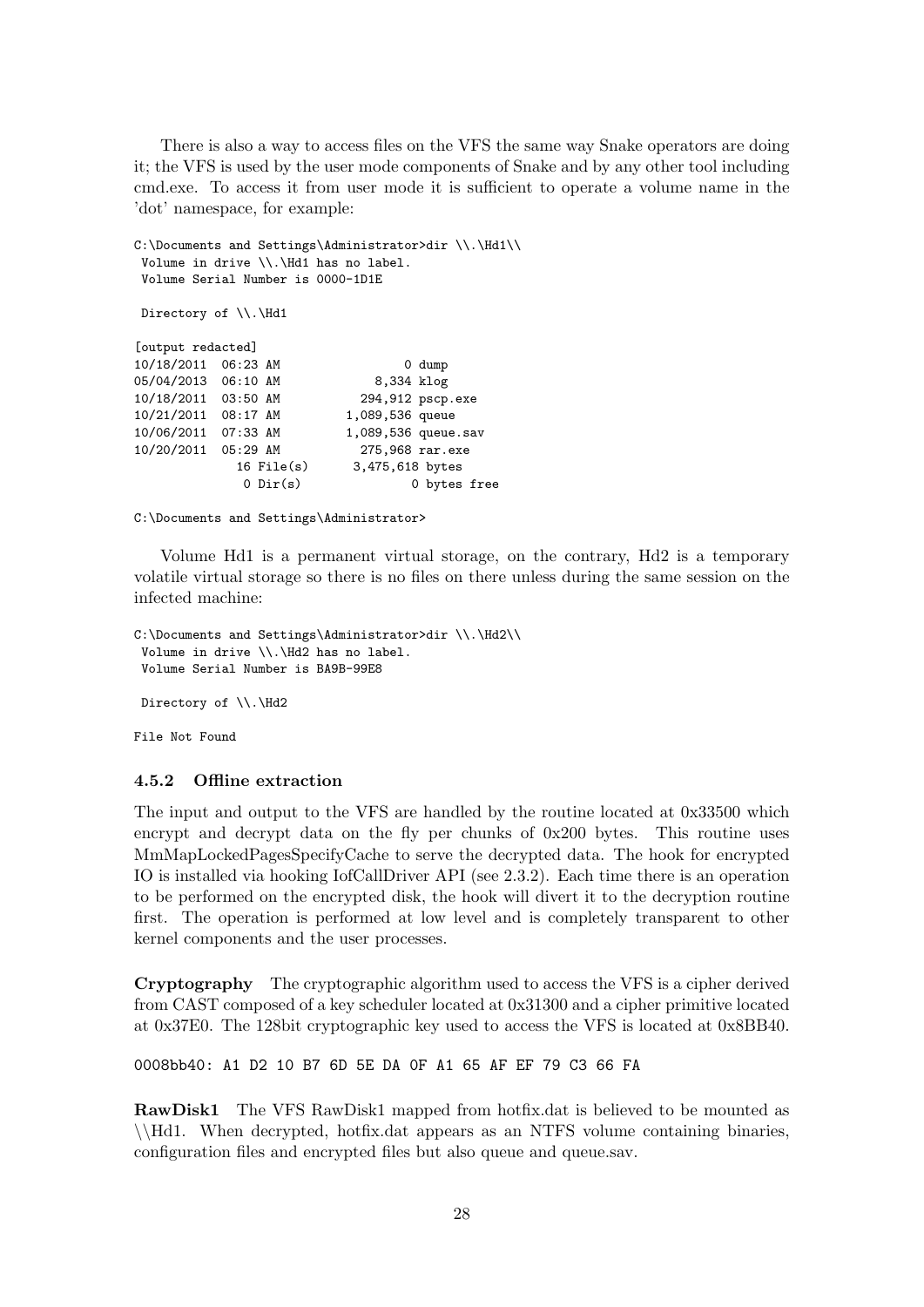There is also a way to access files on the VFS the same way Snake operators are doing it; the VFS is used by the user mode components of Snake and by any other tool including cmd.exe. To access it from user mode it is sufficient to operate a volume name in the 'dot' namespace, for example:

```
<code>C:\Documents and Settings\Administrator>dir \\.\Hd1\\</code>
Volume in drive \\.\Hd1 has no label.
Volume Serial Number is 0000-1D1E
Directory of \\.\Hd1
[output redacted]
10/18/2011  06:23 AM  0 dump
05/04/2013  06:10 AM  8,334 klog
10/18/2011 03:50 AM 294,912 pscp.exe
10/21/2011 08:17 AM 1,089,536 queue
                         1,089,536 queue.sav
10/20/2011 05:29 AM 275,968 rar.exe
            16 File(s) 3,475,618 bytes
             0 Dir(s) 0 bytes free
```
C:\Documents and Settings\Administrator>

Volume Hd1 is a permanent virtual storage, on the contrary, Hd2 is a temporary volatile virtual storage so there is no files on there unless during the same session on the infected machine:

```
C:\Documents and Settings\Administrator>dir \\.\Hd2\\
 Volume in drive \\.\Hd2 has no label.
 Volume Serial Number is BA9B-99E8
Directory of \\.\Hd2
```
File Not Found

#### 4.5.2 Offline extraction

The input and output to the VFS are handled by the routine located at 0x33500 which encrypt and decrypt data on the fly per chunks of 0x200 bytes. This routine uses MmMapLockedPagesSpecifyCache to serve the decrypted data. The hook for encrypted IO is installed via hooking IofCallDriver API (see 2.3.2). Each time there is an operation to be performed on the encrypted disk, the hook will divert it to the decryption routine first. The operation is performed at low level and is completely transparent to other kernel components and the user processes.

Cryptography The cryptographic algorithm used to access the VFS is a cipher derived from CAST composed of a key scheduler located at 0x31300 and a cipher primitive located at 0x37E0. The 128bit cryptographic key used to access the VFS is located at 0x8BB40.

0008bb40: A1 D2 10 B7 6D 5E DA 0F A1 65 AF EF 79 C3 66 FA

RawDisk1 The VFS RawDisk1 mapped from hotfix.dat is believed to be mounted as \\Hd1. When decrypted, hotfix.dat appears as an NTFS volume containing binaries, configuration files and encrypted files but also queue and queue.sav.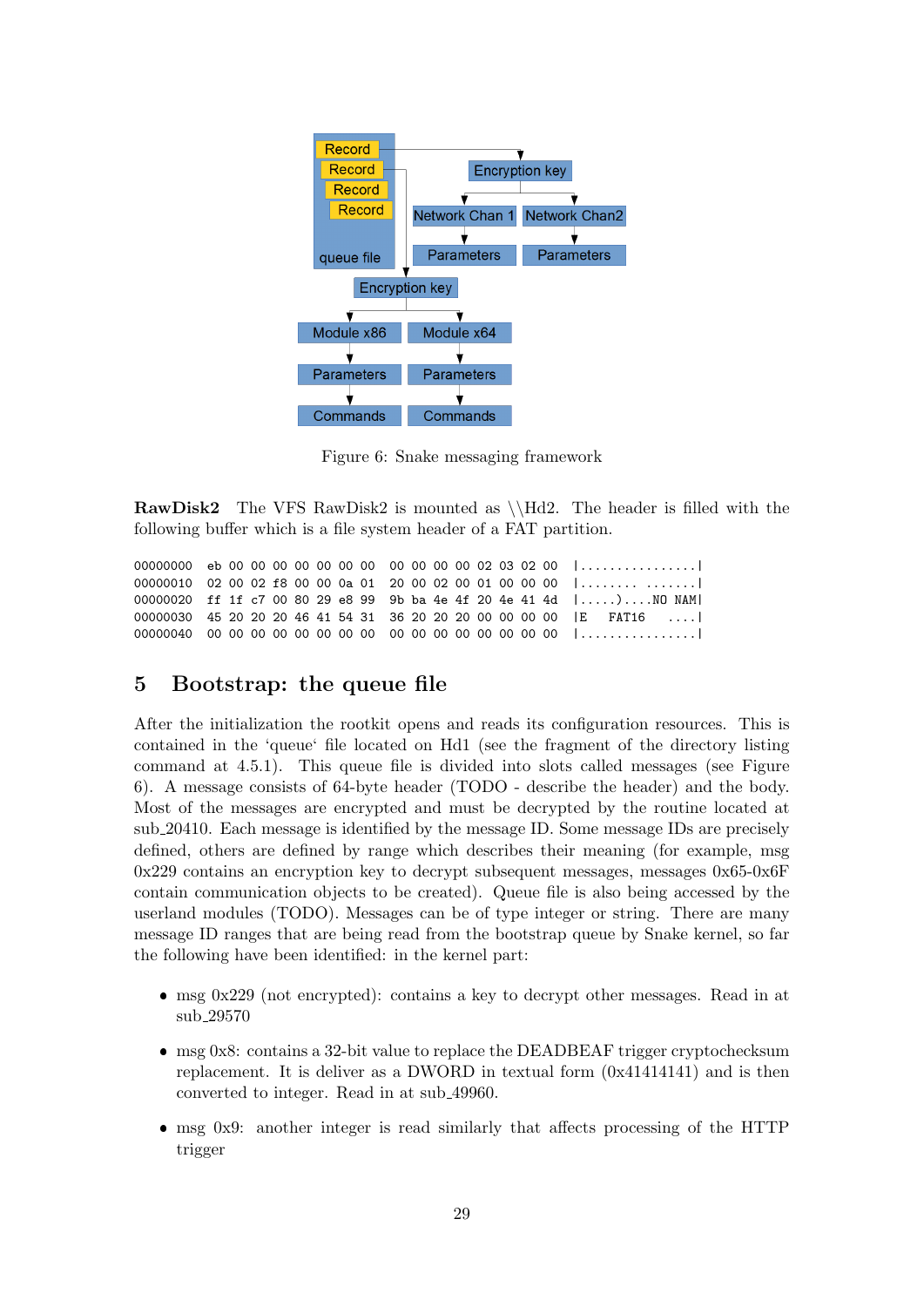

Figure 6: Snake messaging framework

**RawDisk2** The VFS RawDisk2 is mounted as  $\H{dd2}$ . The header is filled with the following buffer which is a file system header of a FAT partition.

00000000 eb 00 00 00 00 00 00 00 00 00 00 00 00 02 03 02 00 |...............| 00000010 02 00 02 f8 00 00 0a 01 20 00 02 00 01 00 00 00 |.................| 00000020 ff 1f c7 00 80 29 e8 99 9b ba 4e 4f 20 4e 41 4d |.....)....NO NAM| 00000030 45 20 20 20 46 41 54 31 36 20 20 20 00 00 00 00 |E FAT16 ....| 00000040 00 00 00 00 00 00 00 00 00 00 00 00 00 00 00 00 |................|

# 5 Bootstrap: the queue file

After the initialization the rootkit opens and reads its configuration resources. This is contained in the 'queue' file located on Hd1 (see the fragment of the directory listing command at 4.5.1). This queue file is divided into slots called messages (see Figure 6). A message consists of 64-byte header (TODO - describe the header) and the body. Most of the messages are encrypted and must be decrypted by the routine located at sub 20410. Each message is identified by the message ID. Some message IDs are precisely defined, others are defined by range which describes their meaning (for example, msg 0x229 contains an encryption key to decrypt subsequent messages, messages 0x65-0x6F contain communication objects to be created). Queue file is also being accessed by the userland modules (TODO). Messages can be of type integer or string. There are many message ID ranges that are being read from the bootstrap queue by Snake kernel, so far the following have been identified: in the kernel part:

- $\bullet$  msg 0x229 (not encrypted): contains a key to decrypt other messages. Read in at sub 29570
- msg 0x8: contains a 32-bit value to replace the DEADBEAF trigger cryptochecksum replacement. It is deliver as a DWORD in textual form (0x41414141) and is then converted to integer. Read in at sub 49960.
- msg 0x9: another integer is read similarly that affects processing of the HTTP trigger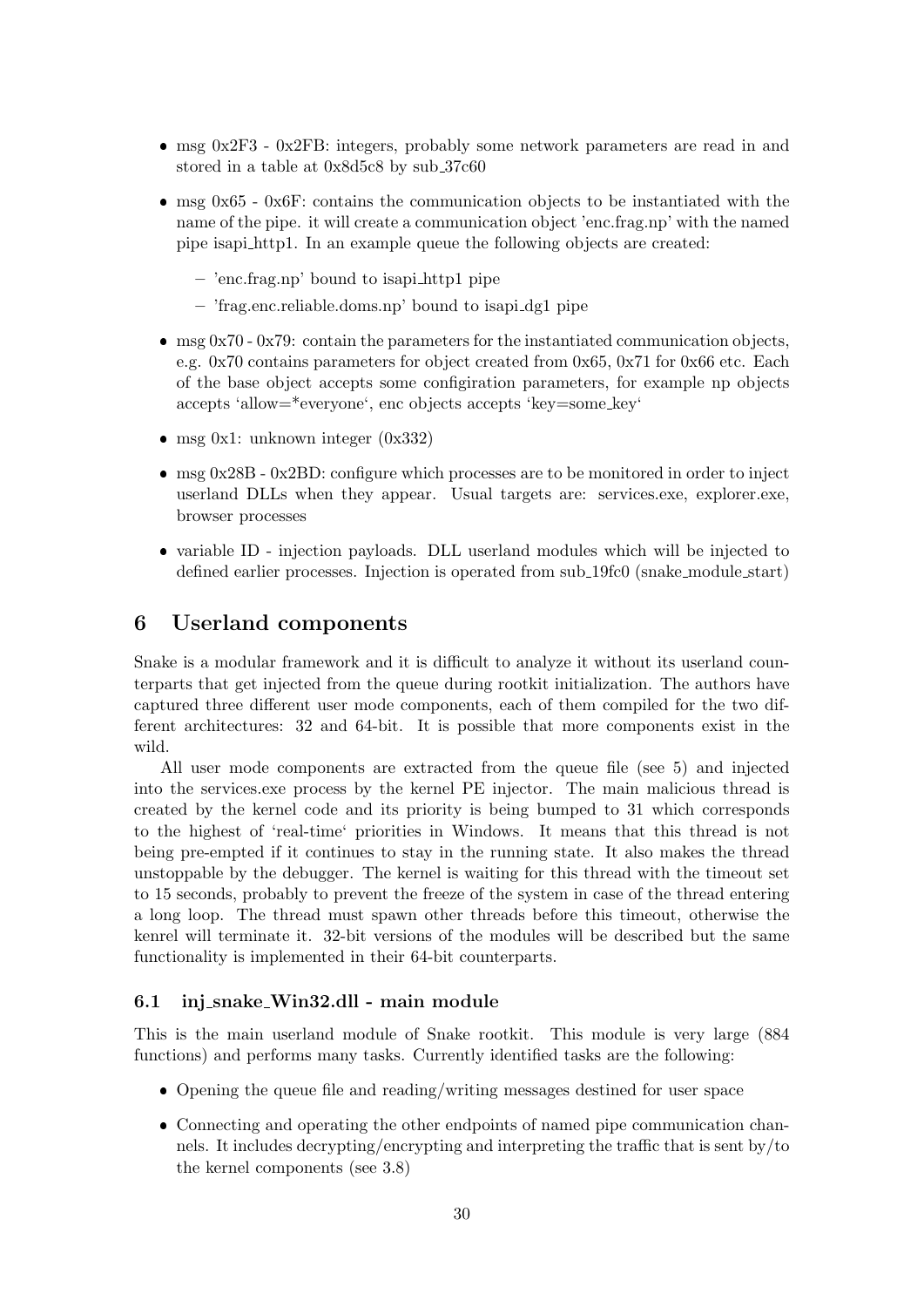- msg  $0x2F3$   $0x2F8$ : integers, probably some network parameters are read in and stored in a table at 0x8d5c8 by sub 37c60
- msg 0x65 0x6F: contains the communication objects to be instantiated with the name of the pipe. it will create a communication object 'enc.frag.np' with the named pipe isapi http1. In an example queue the following objects are created:
	- 'enc.frag.np' bound to isapi http1 pipe
	- 'frag.enc.reliable.doms.np' bound to isapi dg1 pipe
- $\bullet$  msg 0x70 0x79: contain the parameters for the instantiated communication objects, e.g. 0x70 contains parameters for object created from 0x65, 0x71 for 0x66 etc. Each of the base object accepts some configiration parameters, for example np objects accepts 'allow=\*everyone', enc objects accepts 'key=some key'
- msg 0x1: unknown integer  $(0x332)$
- $\bullet$  msg 0x28B 0x2BD: configure which processes are to be monitored in order to inject userland DLLs when they appear. Usual targets are: services.exe, explorer.exe, browser processes
- variable ID injection payloads. DLL userland modules which will be injected to defined earlier processes. Injection is operated from sub 19fc0 (snake module start)

# 6 Userland components

Snake is a modular framework and it is difficult to analyze it without its userland counterparts that get injected from the queue during rootkit initialization. The authors have captured three different user mode components, each of them compiled for the two different architectures: 32 and 64-bit. It is possible that more components exist in the wild.

All user mode components are extracted from the queue file (see 5) and injected into the services.exe process by the kernel PE injector. The main malicious thread is created by the kernel code and its priority is being bumped to 31 which corresponds to the highest of 'real-time' priorities in Windows. It means that this thread is not being pre-empted if it continues to stay in the running state. It also makes the thread unstoppable by the debugger. The kernel is waiting for this thread with the timeout set to 15 seconds, probably to prevent the freeze of the system in case of the thread entering a long loop. The thread must spawn other threads before this timeout, otherwise the kenrel will terminate it. 32-bit versions of the modules will be described but the same functionality is implemented in their 64-bit counterparts.

#### 6.1 inj snake Win32.dll - main module

This is the main userland module of Snake rootkit. This module is very large (884 functions) and performs many tasks. Currently identified tasks are the following:

- Opening the queue file and reading/writing messages destined for user space
- Connecting and operating the other endpoints of named pipe communication channels. It includes decrypting/encrypting and interpreting the traffic that is sent by/to the kernel components (see 3.8)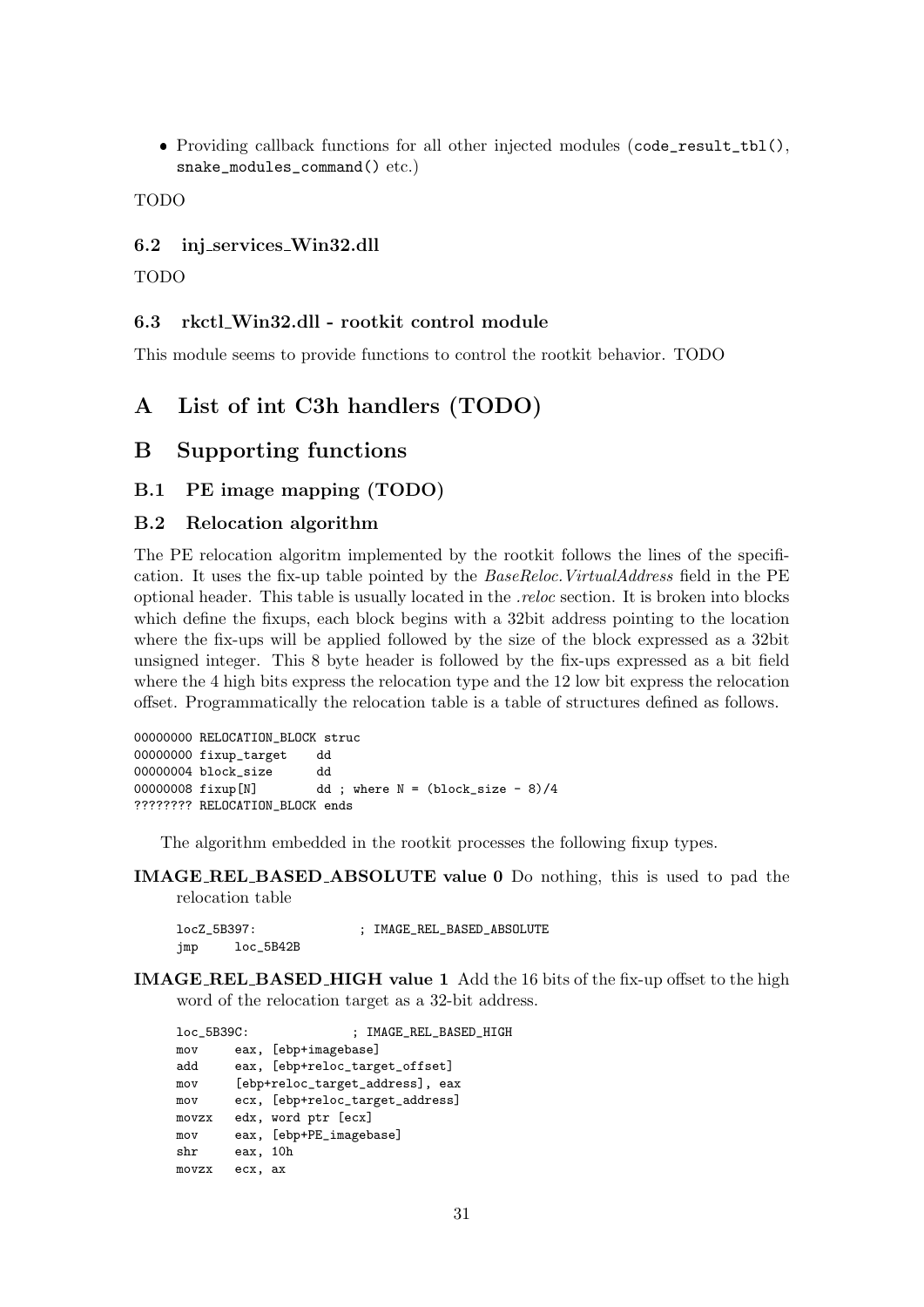Providing callback functions for all other injected modules (code\_result\_tbl(), snake\_modules\_command() etc.)

TODO

## 6.2 inj services Win32.dll

TODO

## 6.3 rkctl Win32.dll - rootkit control module

This module seems to provide functions to control the rootkit behavior. TODO

# A List of int C3h handlers (TODO)

# B Supporting functions

## B.1 PE image mapping (TODO)

## B.2 Relocation algorithm

The PE relocation algoritm implemented by the rootkit follows the lines of the specification. It uses the fix-up table pointed by the BaseReloc.VirtualAddress field in the PE optional header. This table is usually located in the .reloc section. It is broken into blocks which define the fixups, each block begins with a 32bit address pointing to the location where the fix-ups will be applied followed by the size of the block expressed as a 32bit unsigned integer. This 8 byte header is followed by the fix-ups expressed as a bit field where the 4 high bits express the relocation type and the 12 low bit express the relocation offset. Programmatically the relocation table is a table of structures defined as follows.

```
00000000 RELOCATION_BLOCK struc
00000000 fixup_target dd
00000004 block_size dd
00000008 fixup[N] dd ; where N = (block_size - 8)/4
???????? RELOCATION_BLOCK ends
```
The algorithm embedded in the rootkit processes the following fixup types.

IMAGE REL BASED ABSOLUTE value 0 Do nothing, this is used to pad the relocation table

```
locZ_5B397: ; IMAGE_REL_BASED_ABSOLUTE
jmp loc_5B42B
```
IMAGE REL BASED HIGH value 1 Add the 16 bits of the fix-up offset to the high word of the relocation target as a 32-bit address.

| $loc_5B39C$ : |          | ; IMAGE_REL_BASED_HIGH          |
|---------------|----------|---------------------------------|
| mov           |          | eax, [ebp+imagebase]            |
| add           |          | eax, [ebp+reloc_target_offset]  |
| mov           |          | [ebp+reloc_target_address], eax |
| mov           |          | ecx, [ebp+reloc_target_address] |
| movzx         |          | edx, word ptr [ecx]             |
| mov           |          | eax, [ebp+PE_imagebase]         |
| shr           | eax, 10h |                                 |
| movzx         | ecx, ax  |                                 |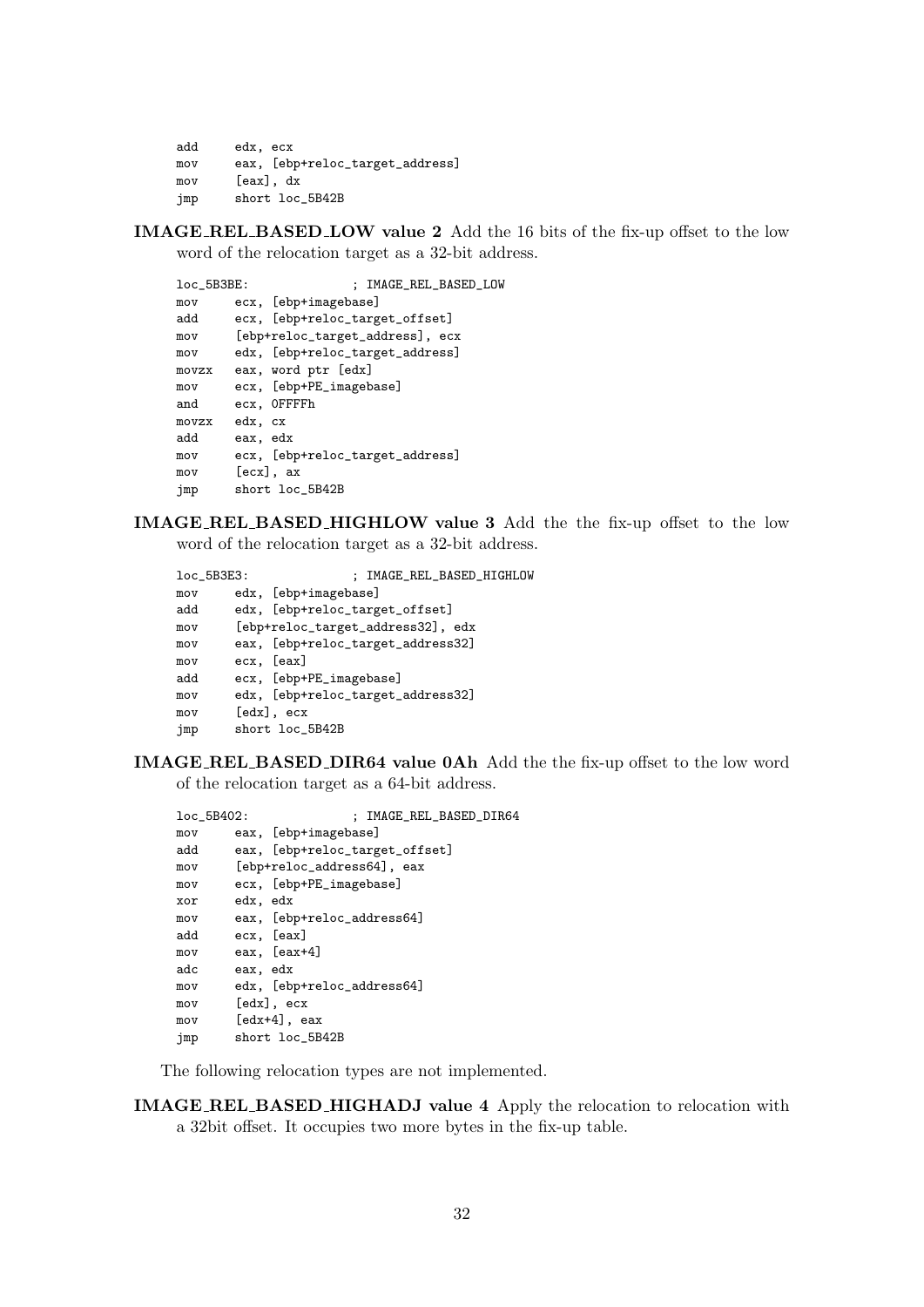```
add edx, ecx
mov eax, [ebp+reloc_target_address]
mov [eax], dx
jmp short loc_5B42B
```
IMAGE REL BASED LOW value 2 Add the 16 bits of the fix-up offset to the low word of the relocation target as a 32-bit address.

```
loc_5B3BE: ; IMAGE_REL_BASED_LOW
mov ecx, [ebp+imagebase]
add ecx, [ebp+reloc_target_offset]
mov [ebp+reloc_target_address], ecx
mov edx, [ebp+reloc_target_address]
movzx eax, word ptr [edx]
mov ecx, [ebp+PE_imagebase]
and ecx, 0FFFFh
movzx edx, cx
add eax, edx
mov ecx, [ebp+reloc_target_address]
mov [ecx], ax
jmp short loc_5B42B
```
IMAGE REL BASED HIGHLOW value 3 Add the the fix-up offset to the low word of the relocation target as a 32-bit address.

```
loc_5B3E3: ; IMAGE_REL_BASED_HIGHLOW
mov edx, [ebp+imagebase]
add edx, [ebp+reloc_target_offset]
mov [ebp+reloc_target_address32], edx
mov eax, [ebp+reloc_target_address32]
mov ecx, [eax]
add ecx, [ebp+PE_imagebase]
mov edx, [ebp+reloc_target_address32]
mov [edx], ecx
jmp short loc_5B42B
```
IMAGE REL BASED DIR64 value 0Ah Add the the fix-up offset to the low word of the relocation target as a 64-bit address.

```
loc_5B402: ; IMAGE_REL_BASED_DIR64
mov eax, [ebp+imagebase]
add eax, [ebp+reloc_target_offset]
mov [ebp+reloc_address64], eax
mov ecx, [ebp+PE_imagebase]
xor edx, edx
mov eax, [ebp+reloc_address64]
add ecx, [eax]
mov eax, [eax+4]
adc eax, edx
mov edx, [ebp+reloc_address64]
mov [edx], ecx
mov [edx+4], eax
jmp short loc_5B42B
```
The following relocation types are not implemented.

IMAGE REL BASED HIGHADJ value 4 Apply the relocation to relocation with a 32bit offset. It occupies two more bytes in the fix-up table.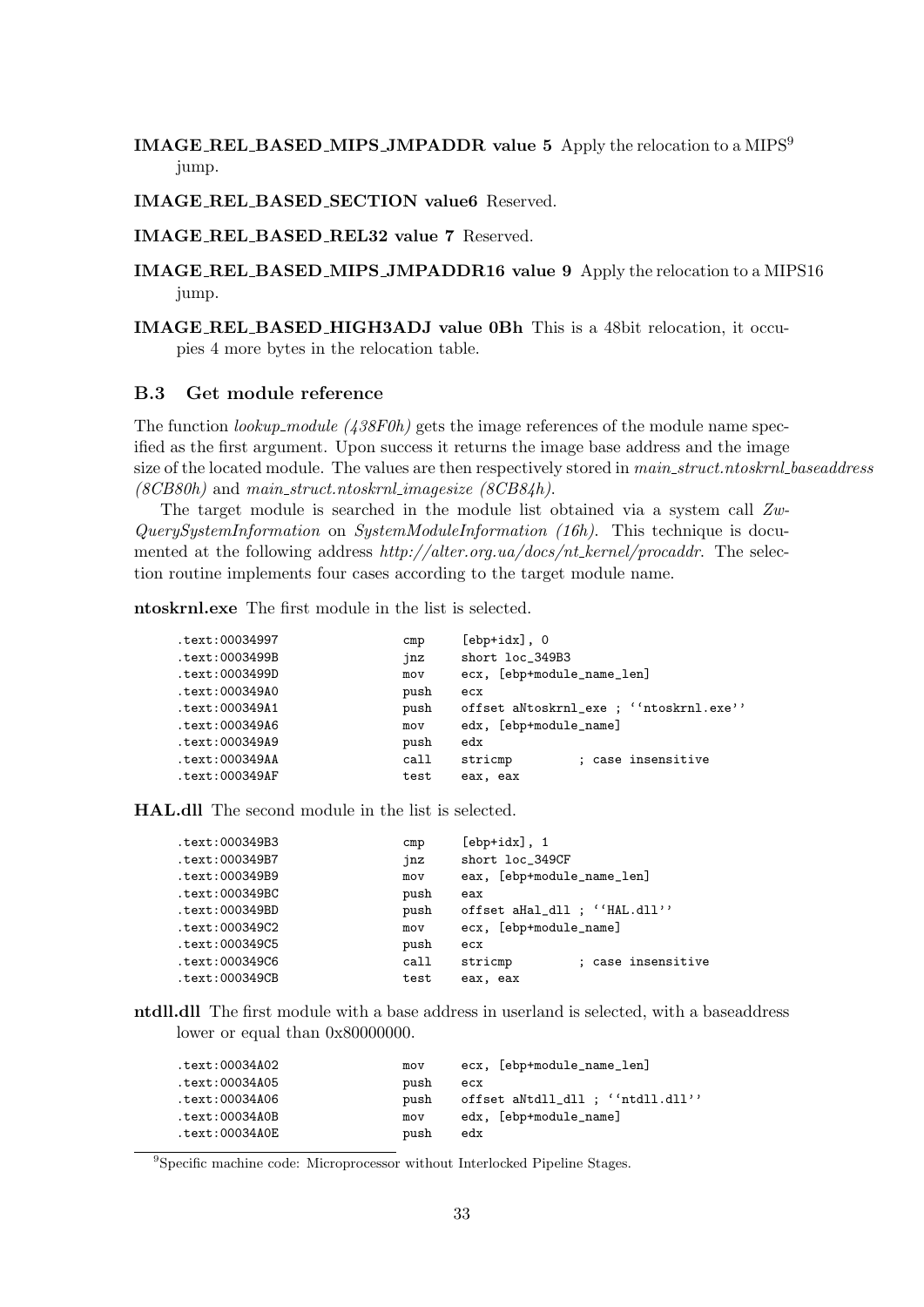## IMAGE REL BASED MIPS JMPADDR value 5 Apply the relocation to a MIPS<sup>9</sup> jump.

IMAGE REL BASED SECTION value6 Reserved.

IMAGE REL BASED REL32 value 7 Reserved.

IMAGE REL BASED MIPS JMPADDR16 value 9 Apply the relocation to a MIPS16 jump.

IMAGE REL BASED HIGH3ADJ value 0Bh This is a 48bit relocation, it occupies 4 more bytes in the relocation table.

#### B.3 Get module reference

The function *lookup\_module (438F0h)* gets the image references of the module name specified as the first argument. Upon success it returns the image base address and the image size of the located module. The values are then respectively stored in main\_struct.ntoskrnl\_baseaddress  $(8CB80h)$  and main\_struct.ntoskrnl\_imagesize  $(8CB84h)$ .

The target module is searched in the module list obtained via a system call Zw-QuerySystemInformation on SystemModuleInformation (16h). This technique is documented at the following address http://alter.org.ua/docs/nt kernel/procaddr. The selection routine implements four cases according to the target module name.

ntoskrnl.exe The first module in the list is selected.

| text:00034997. | cmp  | $[ebp+idx]$ , 0                        |
|----------------|------|----------------------------------------|
| text:0003499B. | jnz  | short loc_349B3                        |
| text:0003499D. | mov  | ecx, [ebp+module_name_len]             |
| text:000349A0. | push | ecx                                    |
| text:000349A1. | push | offset aNtoskrnl_exe; ''ntoskrnl.exe'' |
| text:000349A6. | mov  | edx, [ebp+module_name]                 |
| text:000349A9. | push | edx                                    |
| text:000349AA. | call | ; case insensitive<br>stricmp          |
| text:000349AF  | test | eax, eax                               |
|                |      |                                        |

HAL.dll The second module in the list is selected.

| text:000349B3. | cmp  | $[ebp+idx]$ , 1               |  |  |
|----------------|------|-------------------------------|--|--|
| text:000349B7. | jnz  | short loc_349CF               |  |  |
| text:000349B9. | mov  | eax, [ebp+module_name_len]    |  |  |
| text:000349BC. | push | eax                           |  |  |
| text:000349BD. | push | offset aHal_dll ; ''HAL.dll'' |  |  |
| text:000349C2. | mov  | ecx, [ebp+module_name]        |  |  |
| text:000349C5. | push | ecx                           |  |  |
| text:000349C6. | call | ; case insensitive<br>stricmp |  |  |
| text:000349CB. | test | eax, eax                      |  |  |
|                |      |                               |  |  |

ntdll.dll The first module with a base address in userland is selected, with a baseaddress lower or equal than  $0x80000000$ .

| text:00034A02. | mov  | ecx, [ebp+module_name_len]        |
|----------------|------|-----------------------------------|
| text:00034A05. | push | ecx                               |
| text:00034A06. | push | offset aNtdll_dll ; ''ntdll.dll'' |
| .text:00034A0B | mov  | edx, [ebp+module_name]            |
| text:00034A0E. | push | edx                               |
|                |      |                                   |

<sup>9</sup>Specific machine code: Microprocessor without Interlocked Pipeline Stages.